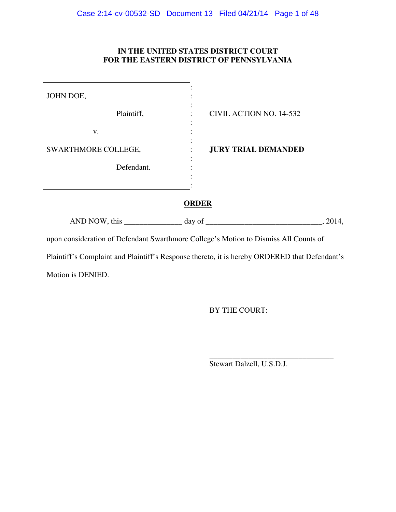# **IN THE UNITED STATES DISTRICT COURT FOR THE EASTERN DISTRICT OF PENNSYLVANIA**

| JOHN DOE,                                                                                     |                                 |  |  |  |
|-----------------------------------------------------------------------------------------------|---------------------------------|--|--|--|
| Plaintiff,                                                                                    | CIVIL ACTION NO. 14-532         |  |  |  |
| V.                                                                                            |                                 |  |  |  |
| SWARTHMORE COLLEGE,                                                                           | <b>JURY TRIAL DEMANDED</b>      |  |  |  |
| Defendant.                                                                                    |                                 |  |  |  |
|                                                                                               |                                 |  |  |  |
| <b>ORDER</b>                                                                                  |                                 |  |  |  |
|                                                                                               | AND NOW, this day of<br>, 2014, |  |  |  |
| upon consideration of Defendant Swarthmore College's Motion to Dismiss All Counts of          |                                 |  |  |  |
| Plaintiff's Complaint and Plaintiff's Response thereto, it is hereby ORDERED that Defendant's |                                 |  |  |  |
| Motion is DENIED.                                                                             |                                 |  |  |  |

 $\overline{\phantom{a}}$  , and the contract of the contract of the contract of the contract of the contract of the contract of the contract of the contract of the contract of the contract of the contract of the contract of the contrac

BY THE COURT:

Stewart Dalzell, U.S.D.J.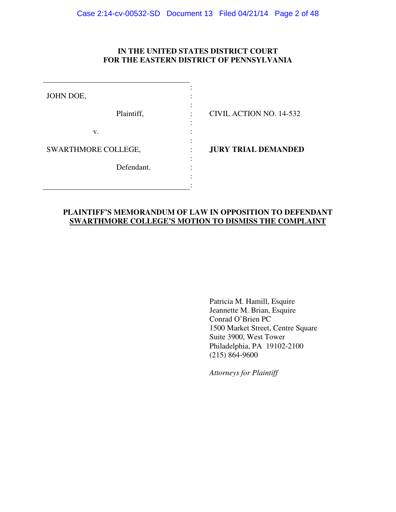## **IN THE UNITED STATES DISTRICT COURT FOR THE EASTERN DISTRICT OF PENNSYLVANIA**

| JOHN DOE,           |                            |
|---------------------|----------------------------|
| Plaintiff,          | CIVIL ACTION NO. 14-532    |
| V.                  |                            |
| SWARTHMORE COLLEGE, | <b>JURY TRIAL DEMANDED</b> |
| Defendant.          |                            |
|                     |                            |
|                     |                            |

## **PLAINTIFF'S MEMORANDUM OF LAW IN OPPOSITION TO DEFENDANT SWARTHMORE COLLEGE'S MOTION TO DISMISS THE COMPLAINT**

 Patricia M. Hamill, Esquire Jeannette M. Brian, Esquire Conrad O'Brien PC 1500 Market Street, Centre Square Suite 3900, West Tower Philadelphia, PA 19102-2100  $(215)$  864-9600

*Attorneys for Plaintiff*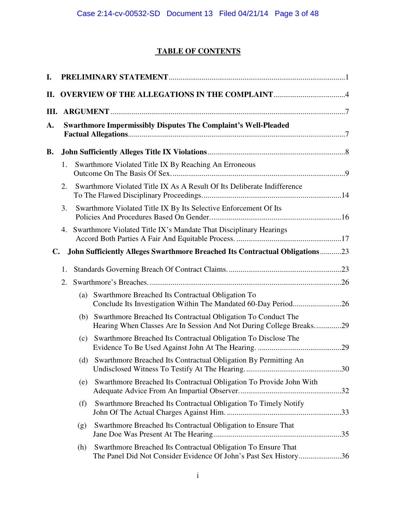# **TABLE OF CONTENTS**

| I.        |    |     |                                                                                                                                      |  |
|-----------|----|-----|--------------------------------------------------------------------------------------------------------------------------------------|--|
| П.        |    |     |                                                                                                                                      |  |
| III.      |    |     |                                                                                                                                      |  |
| A.        |    |     | <b>Swarthmore Impermissibly Disputes The Complaint's Well-Pleaded</b>                                                                |  |
| <b>B.</b> |    |     |                                                                                                                                      |  |
|           | 1. |     | Swarthmore Violated Title IX By Reaching An Erroneous                                                                                |  |
|           | 2. |     | Swarthmore Violated Title IX As A Result Of Its Deliberate Indifference                                                              |  |
|           | 3. |     | Swarthmore Violated Title IX By Its Selective Enforcement Of Its                                                                     |  |
|           | 4. |     | Swarthmore Violated Title IX's Mandate That Disciplinary Hearings                                                                    |  |
| C.        |    |     | <b>John Sufficiently Alleges Swarthmore Breached Its Contractual Obligations23</b>                                                   |  |
|           | 1. |     |                                                                                                                                      |  |
|           | 2. |     |                                                                                                                                      |  |
|           |    | (a) | Swarthmore Breached Its Contractual Obligation To                                                                                    |  |
|           |    | (b) | Swarthmore Breached Its Contractual Obligation To Conduct The<br>Hearing When Classes Are In Session And Not During College Breaks29 |  |
|           |    | (c) | Swarthmore Breached Its Contractual Obligation To Disclose The                                                                       |  |
|           |    |     | (d) Swarthmore Breached Its Contractual Obligation By Permitting An                                                                  |  |
|           |    | (e) | Swarthmore Breached Its Contractual Obligation To Provide John With                                                                  |  |
|           |    | (f) | Swarthmore Breached Its Contractual Obligation To Timely Notify                                                                      |  |
|           |    | (g) | Swarthmore Breached Its Contractual Obligation to Ensure That                                                                        |  |
|           |    | (h) | Swarthmore Breached Its Contractual Obligation To Ensure That<br>The Panel Did Not Consider Evidence Of John's Past Sex History36    |  |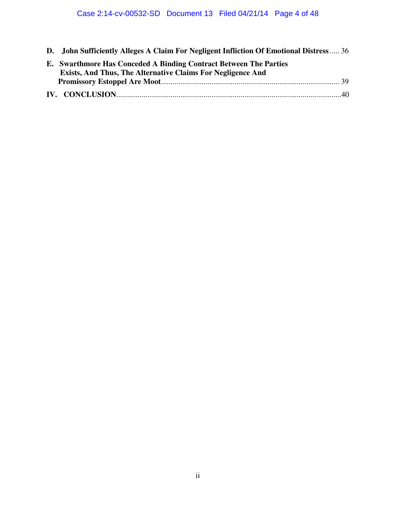**D. John Sufficiently Alleges A Claim For Negligent Infliction Of Emotional Distress** ..... 36

| E. Swarthmore Has Conceded A Binding Contract Between The Parties  |  |
|--------------------------------------------------------------------|--|
| <b>Exists, And Thus, The Alternative Claims For Negligence And</b> |  |
|                                                                    |  |
|                                                                    |  |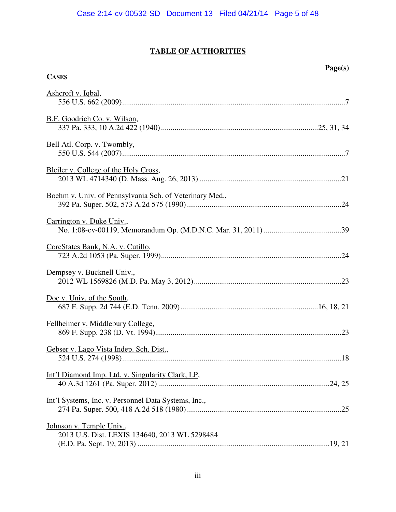# **TABLE OF AUTHORITIES**

**CASES**

# **Page(s)**

| Ashcroft v. Iqbal,                                                        |
|---------------------------------------------------------------------------|
| B.F. Goodrich Co. v. Wilson,                                              |
| Bell Atl. Corp. v. Twombly,                                               |
| Bleiler v. College of the Holy Cross,                                     |
| Boehm v. Univ. of Pennsylvania Sch. of Veterinary Med.,                   |
| Carrington v. Duke Univ.,                                                 |
| CoreStates Bank, N.A. v. Cutillo,                                         |
| Dempsey v. Bucknell Univ.,                                                |
| Doe v. Univ. of the South,                                                |
| Fellheimer v. Middlebury College,                                         |
| Gebser v. Lago Vista Indep. Sch. Dist.,                                   |
| Int'l Diamond Imp. Ltd. v. Singularity Clark, LP,                         |
| Int'l Systems, Inc. v. Personnel Data Systems, Inc.,                      |
| Johnson v. Temple Univ.,<br>2013 U.S. Dist. LEXIS 134640, 2013 WL 5298484 |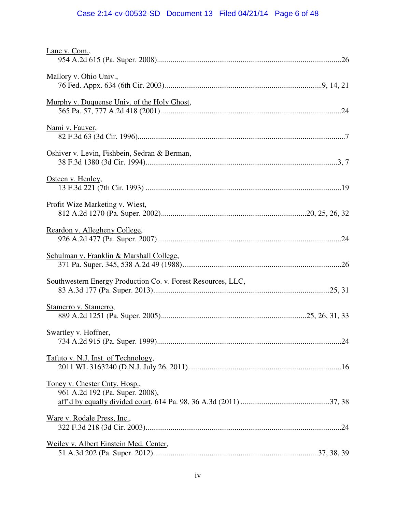# Case 2:14-cv-00532-SD Document 13 Filed 04/21/14 Page 6 of 48

| Lane v. Com.,                                                    |  |
|------------------------------------------------------------------|--|
| Mallory v. Ohio Univ.,                                           |  |
| Murphy v. Duquense Univ. of the Holy Ghost,                      |  |
| Nami v. Fauver,                                                  |  |
| Oshiver v. Levin, Fishbein, Sedran & Berman,                     |  |
| Osteen v. Henley,                                                |  |
| Profit Wize Marketing v. Wiest,                                  |  |
| Reardon v. Allegheny College,                                    |  |
| Schulman v. Franklin & Marshall College,                         |  |
| Southwestern Energy Production Co. v. Forest Resources, LLC,     |  |
| Stamerro v. Stamerro,                                            |  |
| Swartley v. Hoffner,                                             |  |
| Tafuto v. N.J. Inst. of Technology,                              |  |
| Toney v. Chester Cnty. Hosp.,<br>961 A.2d 192 (Pa. Super. 2008), |  |
| <u>Ware v. Rodale Press, Inc.</u> ,                              |  |
| Weiley v. Albert Einstein Med. Center,                           |  |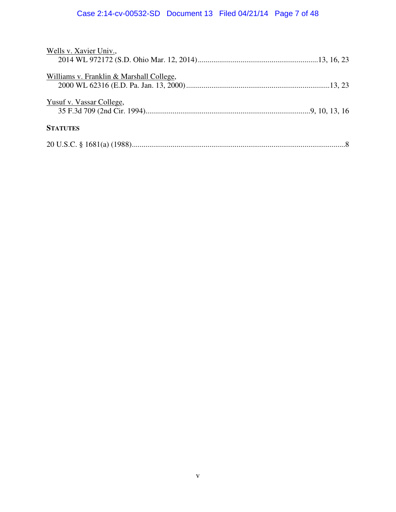# Case 2:14-cv-00532-SD Document 13 Filed 04/21/14 Page 7 of 48

| Wells v. Xavier Univ.,                   |  |
|------------------------------------------|--|
|                                          |  |
| Williams v. Franklin & Marshall College, |  |
|                                          |  |
| Yusuf v. Vassar College,                 |  |
|                                          |  |
| <b>STATUTES</b>                          |  |
|                                          |  |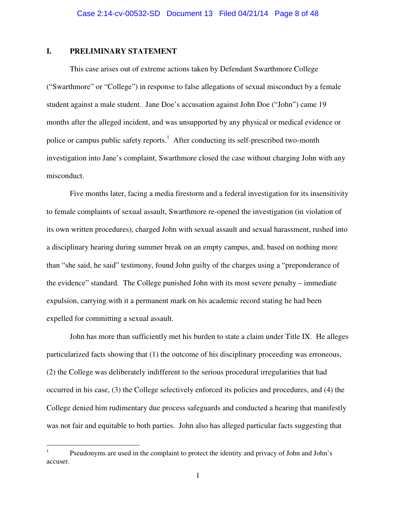## **I. PRELIMINARY STATEMENT**

-

This case arises out of extreme actions taken by Defendant Swarthmore College ("Swarthmore" or "College") in response to false allegations of sexual misconduct by a female student against a male student. Jane Doe's accusation against John Doe ("John") came 19 months after the alleged incident, and was unsupported by any physical or medical evidence or police or campus public safety reports.<sup>1</sup> After conducting its self-prescribed two-month investigation into Jane's complaint, Swarthmore closed the case without charging John with any misconduct.

Five months later, facing a media firestorm and a federal investigation for its insensitivity to female complaints of sexual assault, Swarthmore re-opened the investigation (in violation of its own written procedures), charged John with sexual assault and sexual harassment, rushed into a disciplinary hearing during summer break on an empty campus, and, based on nothing more than "she said, he said" testimony, found John guilty of the charges using a "preponderance of the evidence" standard. The College punished John with its most severe penalty – immediate expulsion, carrying with it a permanent mark on his academic record stating he had been expelled for committing a sexual assault.

John has more than sufficiently met his burden to state a claim under Title IX. He alleges particularized facts showing that (1) the outcome of his disciplinary proceeding was erroneous, (2) the College was deliberately indifferent to the serious procedural irregularities that had occurred in his case, (3) the College selectively enforced its policies and procedures, and (4) the College denied him rudimentary due process safeguards and conducted a hearing that manifestly was not fair and equitable to both parties. John also has alleged particular facts suggesting that

<sup>1</sup> Pseudonyms are used in the complaint to protect the identity and privacy of John and John's accuser.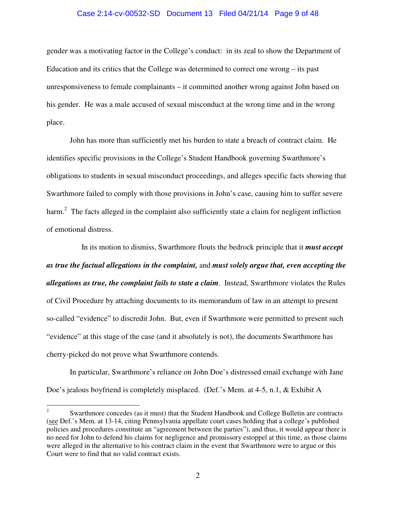# Case 2:14-cv-00532-SD Document 13 Filed 04/21/14 Page 9 of 48

gender was a motivating factor in the College's conduct: in its zeal to show the Department of Education and its critics that the College was determined to correct one wrong – its past unresponsiveness to female complainants – it committed another wrong against John based on his gender. He was a male accused of sexual misconduct at the wrong time and in the wrong place.

John has more than sufficiently met his burden to state a breach of contract claim. He identifies specific provisions in the College's Student Handbook governing Swarthmore's obligations to students in sexual misconduct proceedings, and alleges specific facts showing that Swarthmore failed to comply with those provisions in John's case, causing him to suffer severe harm.<sup>2</sup> The facts alleged in the complaint also sufficiently state a claim for negligent infliction of emotional distress.

 In its motion to dismiss, Swarthmore flouts the bedrock principle that it *must accept as true the factual allegations in the complaint,* and *must solely argue that, even accepting the allegations as true, the complaint fails to state a claim*. Instead, Swarthmore violates the Rules of Civil Procedure by attaching documents to its memorandum of law in an attempt to present so-called "evidence" to discredit John. But, even if Swarthmore were permitted to present such "evidence" at this stage of the case (and it absolutely is not), the documents Swarthmore has cherry-picked do not prove what Swarthmore contends.

In particular, Swarthmore's reliance on John Doe's distressed email exchange with Jane Doe's jealous boyfriend is completely misplaced. (Def.'s Mem. at 4-5, n.1, & Exhibit A

 $\frac{1}{2}$  Swarthmore concedes (as it must) that the Student Handbook and College Bulletin are contracts (see Def.'s Mem. at 13-14, citing Pennsylvania appellate court cases holding that a college's published policies and procedures constitute an "agreement between the parties"), and thus, it would appear there is no need for John to defend his claims for negligence and promissory estoppel at this time, as those claims were alleged in the alternative to his contract claim in the event that Swarthmore were to argue or this Court were to find that no valid contract exists.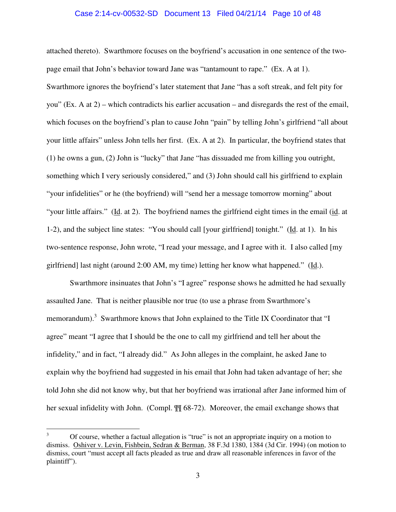#### Case 2:14-cv-00532-SD Document 13 Filed 04/21/14 Page 10 of 48

attached thereto). Swarthmore focuses on the boyfriend's accusation in one sentence of the twopage email that John's behavior toward Jane was "tantamount to rape." (Ex. A at 1). Swarthmore ignores the boyfriend's later statement that Jane "has a soft streak, and felt pity for you" (Ex. A at 2) – which contradicts his earlier accusation – and disregards the rest of the email, which focuses on the boyfriend's plan to cause John "pain" by telling John's girlfriend "all about your little affairs" unless John tells her first. (Ex. A at 2). In particular, the boyfriend states that (1) he owns a gun, (2) John is "lucky" that Jane "has dissuaded me from killing you outright, something which I very seriously considered," and (3) John should call his girlfriend to explain "your infidelities" or he (the boyfriend) will "send her a message tomorrow morning" about "your little affairs." (Id. at 2). The boyfriend names the girlfriend eight times in the email (id. at 1-2), and the subject line states: "You should call [your girlfriend] tonight." (Id. at 1). In his two-sentence response, John wrote, "I read your message, and I agree with it. I also called [my girlfriend] last night (around 2:00 AM, my time) letting her know what happened." (Id.).

Swarthmore insinuates that John's "I agree" response shows he admitted he had sexually assaulted Jane. That is neither plausible nor true (to use a phrase from Swarthmore's memorandum).<sup>3</sup> Swarthmore knows that John explained to the Title IX Coordinator that "I agree" meant "I agree that I should be the one to call my girlfriend and tell her about the infidelity," and in fact, "I already did." As John alleges in the complaint, he asked Jane to explain why the boyfriend had suggested in his email that John had taken advantage of her; she told John she did not know why, but that her boyfriend was irrational after Jane informed him of her sexual infidelity with John. (Compl. ¶¶ 68-72). Moreover, the email exchange shows that

-

<sup>3</sup> Of course, whether a factual allegation is "true" is not an appropriate inquiry on a motion to dismiss. Oshiver v. Levin, Fishbein, Sedran & Berman, 38 F.3d 1380, 1384 (3d Cir. 1994) (on motion to dismiss, court "must accept all facts pleaded as true and draw all reasonable inferences in favor of the plaintiff").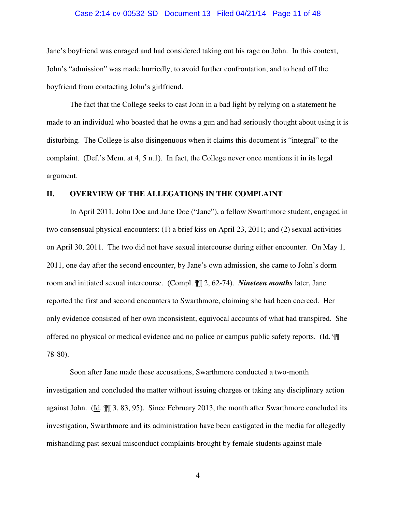#### Case 2:14-cv-00532-SD Document 13 Filed 04/21/14 Page 11 of 48

Jane's boyfriend was enraged and had considered taking out his rage on John. In this context, John's "admission" was made hurriedly, to avoid further confrontation, and to head off the boyfriend from contacting John's girlfriend.

The fact that the College seeks to cast John in a bad light by relying on a statement he made to an individual who boasted that he owns a gun and had seriously thought about using it is disturbing. The College is also disingenuous when it claims this document is "integral" to the complaint. (Def.'s Mem. at 4, 5 n.1). In fact, the College never once mentions it in its legal argument.

#### **II. OVERVIEW OF THE ALLEGATIONS IN THE COMPLAINT**

In April 2011, John Doe and Jane Doe ("Jane"), a fellow Swarthmore student, engaged in two consensual physical encounters: (1) a brief kiss on April 23, 2011; and (2) sexual activities on April 30, 2011. The two did not have sexual intercourse during either encounter. On May 1, 2011, one day after the second encounter, by Jane's own admission, she came to John's dorm room and initiated sexual intercourse. (Compl. ¶¶ 2, 62-74). *Nineteen months* later, Jane reported the first and second encounters to Swarthmore, claiming she had been coerced. Her only evidence consisted of her own inconsistent, equivocal accounts of what had transpired. She offered no physical or medical evidence and no police or campus public safety reports. (Id. ¶¶ 78-80).

Soon after Jane made these accusations, Swarthmore conducted a two-month investigation and concluded the matter without issuing charges or taking any disciplinary action against John. (Id. ¶¶ 3, 83, 95). Since February 2013, the month after Swarthmore concluded its investigation, Swarthmore and its administration have been castigated in the media for allegedly mishandling past sexual misconduct complaints brought by female students against male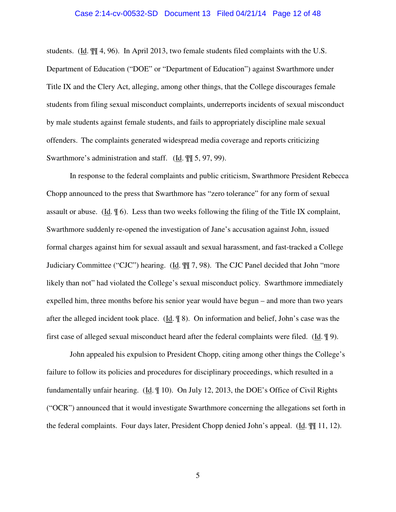#### Case 2:14-cv-00532-SD Document 13 Filed 04/21/14 Page 12 of 48

students. (Id. ¶¶ 4, 96). In April 2013, two female students filed complaints with the U.S. Department of Education ("DOE" or "Department of Education") against Swarthmore under Title IX and the Clery Act, alleging, among other things, that the College discourages female students from filing sexual misconduct complaints, underreports incidents of sexual misconduct by male students against female students, and fails to appropriately discipline male sexual offenders. The complaints generated widespread media coverage and reports criticizing Swarthmore's administration and staff. (Id. ¶¶ 5, 97, 99).

In response to the federal complaints and public criticism, Swarthmore President Rebecca Chopp announced to the press that Swarthmore has "zero tolerance" for any form of sexual assault or abuse. (Id.  $\phi$ ). Less than two weeks following the filing of the Title IX complaint, Swarthmore suddenly re-opened the investigation of Jane's accusation against John, issued formal charges against him for sexual assault and sexual harassment, and fast-tracked a College Judiciary Committee ("CJC") hearing. (Id.  $\P$ ] 7, 98). The CJC Panel decided that John "more likely than not" had violated the College's sexual misconduct policy. Swarthmore immediately expelled him, three months before his senior year would have begun – and more than two years after the alleged incident took place. (Id. ¶ 8). On information and belief, John's case was the first case of alleged sexual misconduct heard after the federal complaints were filed. (Id. ¶ 9).

John appealed his expulsion to President Chopp, citing among other things the College's failure to follow its policies and procedures for disciplinary proceedings, which resulted in a fundamentally unfair hearing. (Id. ¶ 10). On July 12, 2013, the DOE's Office of Civil Rights ("OCR") announced that it would investigate Swarthmore concerning the allegations set forth in the federal complaints. Four days later, President Chopp denied John's appeal. (Id. ¶¶ 11, 12).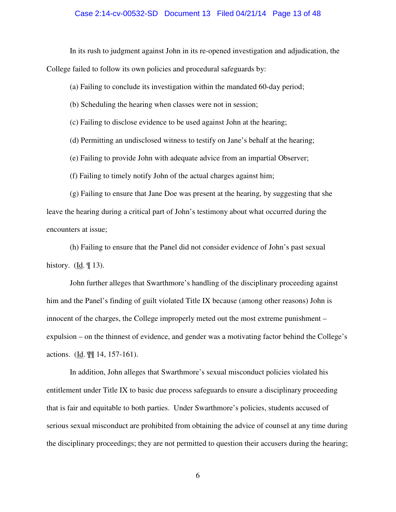#### Case 2:14-cv-00532-SD Document 13 Filed 04/21/14 Page 13 of 48

In its rush to judgment against John in its re-opened investigation and adjudication, the

College failed to follow its own policies and procedural safeguards by:

(a) Failing to conclude its investigation within the mandated 60-day period;

(b) Scheduling the hearing when classes were not in session;

(c) Failing to disclose evidence to be used against John at the hearing;

(d) Permitting an undisclosed witness to testify on Jane's behalf at the hearing;

(e) Failing to provide John with adequate advice from an impartial Observer;

(f) Failing to timely notify John of the actual charges against him;

(g) Failing to ensure that Jane Doe was present at the hearing, by suggesting that she leave the hearing during a critical part of John's testimony about what occurred during the encounters at issue;

(h) Failing to ensure that the Panel did not consider evidence of John's past sexual history. ( $\underline{Id}$ .  $\P$  13).

John further alleges that Swarthmore's handling of the disciplinary proceeding against him and the Panel's finding of guilt violated Title IX because (among other reasons) John is innocent of the charges, the College improperly meted out the most extreme punishment – expulsion – on the thinnest of evidence, and gender was a motivating factor behind the College's actions. (Id. ¶¶ 14, 157-161).

In addition, John alleges that Swarthmore's sexual misconduct policies violated his entitlement under Title IX to basic due process safeguards to ensure a disciplinary proceeding that is fair and equitable to both parties. Under Swarthmore's policies, students accused of serious sexual misconduct are prohibited from obtaining the advice of counsel at any time during the disciplinary proceedings; they are not permitted to question their accusers during the hearing;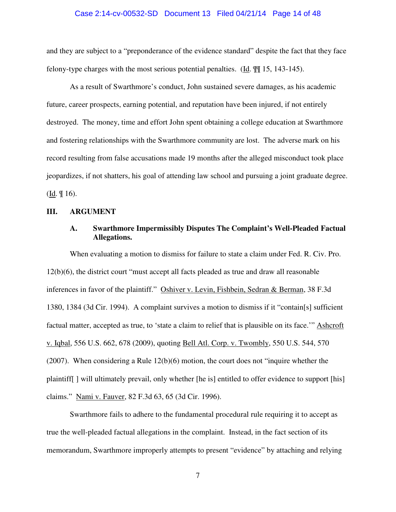#### Case 2:14-cv-00532-SD Document 13 Filed 04/21/14 Page 14 of 48

and they are subject to a "preponderance of the evidence standard" despite the fact that they face felony-type charges with the most serious potential penalties. (Id. ¶¶ 15, 143-145).

As a result of Swarthmore's conduct, John sustained severe damages, as his academic future, career prospects, earning potential, and reputation have been injured, if not entirely destroyed. The money, time and effort John spent obtaining a college education at Swarthmore and fostering relationships with the Swarthmore community are lost. The adverse mark on his record resulting from false accusations made 19 months after the alleged misconduct took place jeopardizes, if not shatters, his goal of attending law school and pursuing a joint graduate degree.  $(\underline{Id}, \P 16).$ 

#### **III. ARGUMENT**

## **A. Swarthmore Impermissibly Disputes The Complaint's Well-Pleaded Factual Allegations.**

When evaluating a motion to dismiss for failure to state a claim under Fed. R. Civ. Pro. 12(b)(6), the district court "must accept all facts pleaded as true and draw all reasonable inferences in favor of the plaintiff." Oshiver v. Levin, Fishbein, Sedran & Berman, 38 F.3d 1380, 1384 (3d Cir. 1994). A complaint survives a motion to dismiss if it "contain[s] sufficient factual matter, accepted as true, to 'state a claim to relief that is plausible on its face.'" Ashcroft v. Iqbal, 556 U.S. 662, 678 (2009), quoting Bell Atl. Corp. v. Twombly, 550 U.S. 544, 570 (2007). When considering a Rule 12(b)(6) motion, the court does not "inquire whether the plaintiff[ ] will ultimately prevail, only whether [he is] entitled to offer evidence to support [his] claims." Nami v. Fauver, 82 F.3d 63, 65 (3d Cir. 1996).

Swarthmore fails to adhere to the fundamental procedural rule requiring it to accept as true the well-pleaded factual allegations in the complaint. Instead, in the fact section of its memorandum, Swarthmore improperly attempts to present "evidence" by attaching and relying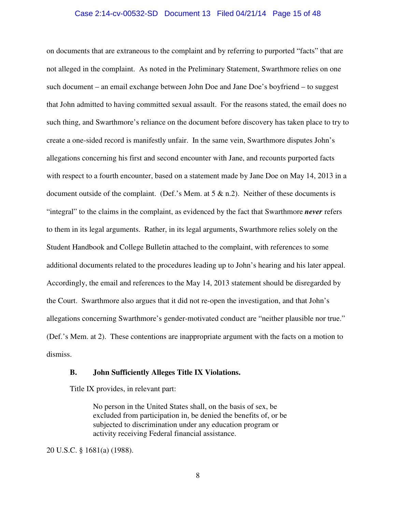#### Case 2:14-cv-00532-SD Document 13 Filed 04/21/14 Page 15 of 48

on documents that are extraneous to the complaint and by referring to purported "facts" that are not alleged in the complaint. As noted in the Preliminary Statement, Swarthmore relies on one such document – an email exchange between John Doe and Jane Doe's boyfriend – to suggest that John admitted to having committed sexual assault. For the reasons stated, the email does no such thing, and Swarthmore's reliance on the document before discovery has taken place to try to create a one-sided record is manifestly unfair. In the same vein, Swarthmore disputes John's allegations concerning his first and second encounter with Jane, and recounts purported facts with respect to a fourth encounter, based on a statement made by Jane Doe on May 14, 2013 in a document outside of the complaint. (Def.'s Mem. at  $5 \& n.2$ ). Neither of these documents is "integral" to the claims in the complaint, as evidenced by the fact that Swarthmore *never* refers to them in its legal arguments. Rather, in its legal arguments, Swarthmore relies solely on the Student Handbook and College Bulletin attached to the complaint, with references to some additional documents related to the procedures leading up to John's hearing and his later appeal. Accordingly, the email and references to the May 14, 2013 statement should be disregarded by the Court. Swarthmore also argues that it did not re-open the investigation, and that John's allegations concerning Swarthmore's gender-motivated conduct are "neither plausible nor true." (Def.'s Mem. at 2). These contentions are inappropriate argument with the facts on a motion to dismiss.

## **B. John Sufficiently Alleges Title IX Violations.**

Title IX provides, in relevant part:

No person in the United States shall, on the basis of sex, be excluded from participation in, be denied the benefits of, or be subjected to discrimination under any education program or activity receiving Federal financial assistance.

20 U.S.C. § 1681(a) (1988).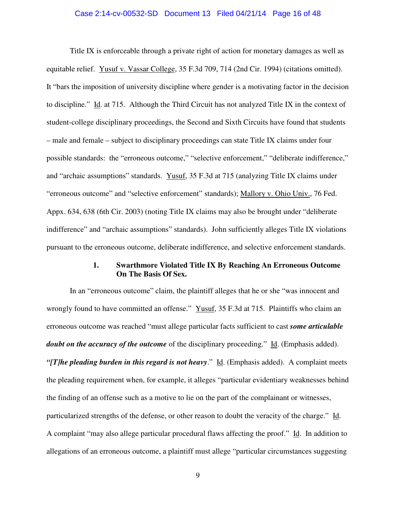#### Case 2:14-cv-00532-SD Document 13 Filed 04/21/14 Page 16 of 48

Title IX is enforceable through a private right of action for monetary damages as well as equitable relief. Yusuf v. Vassar College, 35 F.3d 709, 714 (2nd Cir. 1994) (citations omitted). It "bars the imposition of university discipline where gender is a motivating factor in the decision to discipline." Id. at 715. Although the Third Circuit has not analyzed Title IX in the context of student-college disciplinary proceedings, the Second and Sixth Circuits have found that students – male and female – subject to disciplinary proceedings can state Title IX claims under four possible standards: the "erroneous outcome," "selective enforcement," "deliberate indifference," and "archaic assumptions" standards. Yusuf, 35 F.3d at 715 (analyzing Title IX claims under "erroneous outcome" and "selective enforcement" standards); Mallory v. Ohio Univ., 76 Fed. Appx. 634, 638 (6th Cir. 2003) (noting Title IX claims may also be brought under "deliberate indifference" and "archaic assumptions" standards). John sufficiently alleges Title IX violations pursuant to the erroneous outcome, deliberate indifference, and selective enforcement standards.

## **1. Swarthmore Violated Title IX By Reaching An Erroneous Outcome On The Basis Of Sex.**

 In an "erroneous outcome" claim, the plaintiff alleges that he or she "was innocent and wrongly found to have committed an offense." Yusuf, 35 F.3d at 715. Plaintiffs who claim an erroneous outcome was reached "must allege particular facts sufficient to cast *some articulable doubt on the accuracy of the outcome* of the disciplinary proceeding." Id. (Emphasis added). *"[T]he pleading burden in this regard is not heavy*." Id. (Emphasis added). A complaint meets the pleading requirement when, for example, it alleges "particular evidentiary weaknesses behind the finding of an offense such as a motive to lie on the part of the complainant or witnesses, particularized strengths of the defense, or other reason to doubt the veracity of the charge." Id. A complaint "may also allege particular procedural flaws affecting the proof." Id. In addition to allegations of an erroneous outcome, a plaintiff must allege "particular circumstances suggesting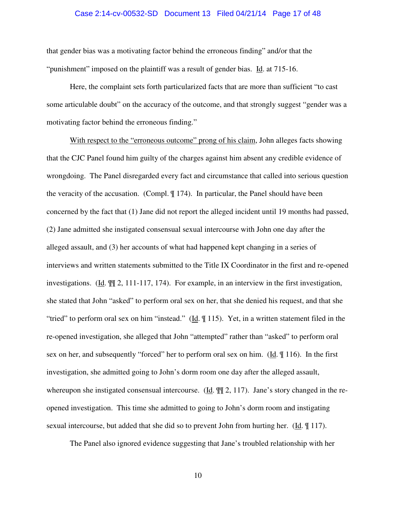#### Case 2:14-cv-00532-SD Document 13 Filed 04/21/14 Page 17 of 48

that gender bias was a motivating factor behind the erroneous finding" and/or that the "punishment" imposed on the plaintiff was a result of gender bias. Id. at 715-16.

 Here, the complaint sets forth particularized facts that are more than sufficient "to cast some articulable doubt" on the accuracy of the outcome, and that strongly suggest "gender was a motivating factor behind the erroneous finding."

With respect to the "erroneous outcome" prong of his claim, John alleges facts showing that the CJC Panel found him guilty of the charges against him absent any credible evidence of wrongdoing. The Panel disregarded every fact and circumstance that called into serious question the veracity of the accusation. (Compl. ¶ 174). In particular, the Panel should have been concerned by the fact that (1) Jane did not report the alleged incident until 19 months had passed, (2) Jane admitted she instigated consensual sexual intercourse with John one day after the alleged assault, and (3) her accounts of what had happened kept changing in a series of interviews and written statements submitted to the Title IX Coordinator in the first and re-opened investigations. (Id. ¶¶ 2, 111-117, 174). For example, in an interview in the first investigation, she stated that John "asked" to perform oral sex on her, that she denied his request, and that she "tried" to perform oral sex on him "instead." (Id. ¶ 115). Yet, in a written statement filed in the re-opened investigation, she alleged that John "attempted" rather than "asked" to perform oral sex on her, and subsequently "forced" her to perform oral sex on him. ( $\underline{Id}$ .  $\P$  116). In the first investigation, she admitted going to John's dorm room one day after the alleged assault, whereupon she instigated consensual intercourse. (Id.  $\P$ [ 2, 117). Jane's story changed in the reopened investigation. This time she admitted to going to John's dorm room and instigating sexual intercourse, but added that she did so to prevent John from hurting her. (Id.  $\parallel$  117).

The Panel also ignored evidence suggesting that Jane's troubled relationship with her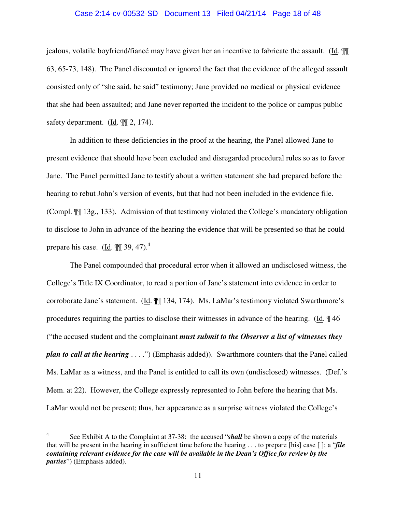#### Case 2:14-cv-00532-SD Document 13 Filed 04/21/14 Page 18 of 48

jealous, volatile boyfriend/fiancé may have given her an incentive to fabricate the assault. (Id. ¶¶ 63, 65-73, 148). The Panel discounted or ignored the fact that the evidence of the alleged assault consisted only of "she said, he said" testimony; Jane provided no medical or physical evidence that she had been assaulted; and Jane never reported the incident to the police or campus public safety department. (Id.  $\P$ [ 2, 174).

 In addition to these deficiencies in the proof at the hearing, the Panel allowed Jane to present evidence that should have been excluded and disregarded procedural rules so as to favor Jane. The Panel permitted Jane to testify about a written statement she had prepared before the hearing to rebut John's version of events, but that had not been included in the evidence file. (Compl. ¶¶ 13g., 133). Admission of that testimony violated the College's mandatory obligation to disclose to John in advance of the hearing the evidence that will be presented so that he could prepare his case. ( $\underline{Id}$ .  $\P$  $\P$  39, 47).<sup>4</sup>

 The Panel compounded that procedural error when it allowed an undisclosed witness, the College's Title IX Coordinator, to read a portion of Jane's statement into evidence in order to corroborate Jane's statement. (Id. ¶¶ 134, 174). Ms. LaMar's testimony violated Swarthmore's procedures requiring the parties to disclose their witnesses in advance of the hearing. (Id. ¶ 46 ("the accused student and the complainant *must submit to the Observer a list of witnesses they plan to call at the hearing* . . . .") (Emphasis added)). Swarthmore counters that the Panel called Ms. LaMar as a witness, and the Panel is entitled to call its own (undisclosed) witnesses. (Def.'s Mem. at 22). However, the College expressly represented to John before the hearing that Ms. LaMar would not be present; thus, her appearance as a surprise witness violated the College's

-

<sup>4</sup> See Exhibit A to the Complaint at 37-38: the accused "*shall* be shown a copy of the materials that will be present in the hearing in sufficient time before the hearing . . . to prepare [his] case [ ]; a "*file containing relevant evidence for the case will be available in the Dean's Office for review by the parties*") (Emphasis added).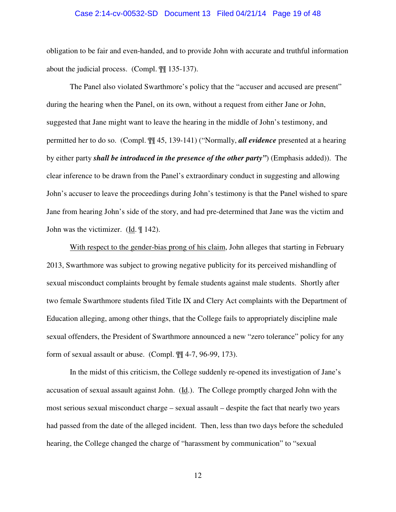#### Case 2:14-cv-00532-SD Document 13 Filed 04/21/14 Page 19 of 48

obligation to be fair and even-handed, and to provide John with accurate and truthful information about the judicial process. (Compl. ¶¶ 135-137).

 The Panel also violated Swarthmore's policy that the "accuser and accused are present" during the hearing when the Panel, on its own, without a request from either Jane or John, suggested that Jane might want to leave the hearing in the middle of John's testimony, and permitted her to do so. (Compl. ¶¶ 45, 139-141) ("Normally, *all evidence* presented at a hearing by either party *shall be introduced in the presence of the other party"*) (Emphasis added)). The clear inference to be drawn from the Panel's extraordinary conduct in suggesting and allowing John's accuser to leave the proceedings during John's testimony is that the Panel wished to spare Jane from hearing John's side of the story, and had pre-determined that Jane was the victim and John was the victimizer. (Id. ¶ 142).

 With respect to the gender-bias prong of his claim, John alleges that starting in February 2013, Swarthmore was subject to growing negative publicity for its perceived mishandling of sexual misconduct complaints brought by female students against male students. Shortly after two female Swarthmore students filed Title IX and Clery Act complaints with the Department of Education alleging, among other things, that the College fails to appropriately discipline male sexual offenders, the President of Swarthmore announced a new "zero tolerance" policy for any form of sexual assault or abuse. (Compl. ¶¶ 4-7, 96-99, 173).

 In the midst of this criticism, the College suddenly re-opened its investigation of Jane's accusation of sexual assault against John. (Id.). The College promptly charged John with the most serious sexual misconduct charge – sexual assault – despite the fact that nearly two years had passed from the date of the alleged incident. Then, less than two days before the scheduled hearing, the College changed the charge of "harassment by communication" to "sexual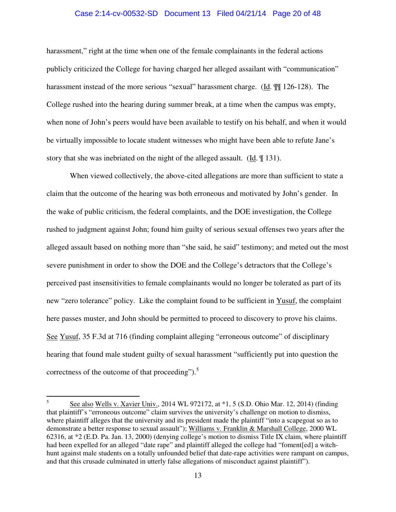#### Case 2:14-cv-00532-SD Document 13 Filed 04/21/14 Page 20 of 48

harassment," right at the time when one of the female complainants in the federal actions publicly criticized the College for having charged her alleged assailant with "communication" harassment instead of the more serious "sexual" harassment charge. (Id. ¶¶ 126-128). The College rushed into the hearing during summer break, at a time when the campus was empty, when none of John's peers would have been available to testify on his behalf, and when it would be virtually impossible to locate student witnesses who might have been able to refute Jane's story that she was inebriated on the night of the alleged assault. (Id. ¶ 131).

 When viewed collectively, the above-cited allegations are more than sufficient to state a claim that the outcome of the hearing was both erroneous and motivated by John's gender. In the wake of public criticism, the federal complaints, and the DOE investigation, the College rushed to judgment against John; found him guilty of serious sexual offenses two years after the alleged assault based on nothing more than "she said, he said" testimony; and meted out the most severe punishment in order to show the DOE and the College's detractors that the College's perceived past insensitivities to female complainants would no longer be tolerated as part of its new "zero tolerance" policy. Like the complaint found to be sufficient in Yusuf, the complaint here passes muster, and John should be permitted to proceed to discovery to prove his claims. See Yusuf, 35 F.3d at 716 (finding complaint alleging "erroneous outcome" of disciplinary hearing that found male student guilty of sexual harassment "sufficiently put into question the correctness of the outcome of that proceeding"). $5$ 

 $\frac{1}{5}$  See also Wells v. Xavier Univ., 2014 WL 972172, at \*1, 5 (S.D. Ohio Mar. 12, 2014) (finding that plaintiff's "erroneous outcome" claim survives the university's challenge on motion to dismiss, where plaintiff alleges that the university and its president made the plaintiff "into a scapegoat so as to demonstrate a better response to sexual assault"); Williams v. Franklin & Marshall College, 2000 WL 62316, at \*2 (E.D. Pa. Jan. 13, 2000) (denying college's motion to dismiss Title IX claim, where plaintiff had been expelled for an alleged "date rape" and plaintiff alleged the college had "foment[ed] a witchhunt against male students on a totally unfounded belief that date-rape activities were rampant on campus, and that this crusade culminated in utterly false allegations of misconduct against plaintiff").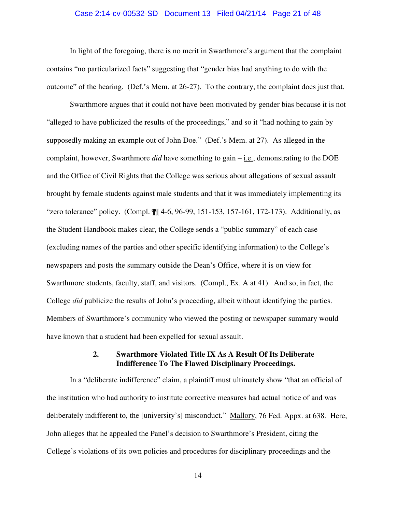#### Case 2:14-cv-00532-SD Document 13 Filed 04/21/14 Page 21 of 48

 In light of the foregoing, there is no merit in Swarthmore's argument that the complaint contains "no particularized facts" suggesting that "gender bias had anything to do with the outcome" of the hearing. (Def.'s Mem. at 26-27). To the contrary, the complaint does just that.

 Swarthmore argues that it could not have been motivated by gender bias because it is not "alleged to have publicized the results of the proceedings," and so it "had nothing to gain by supposedly making an example out of John Doe." (Def.'s Mem. at 27). As alleged in the complaint, however, Swarthmore *did* have something to gain – i.e., demonstrating to the DOE and the Office of Civil Rights that the College was serious about allegations of sexual assault brought by female students against male students and that it was immediately implementing its "zero tolerance" policy. (Compl. ¶¶ 4-6, 96-99, 151-153, 157-161, 172-173). Additionally, as the Student Handbook makes clear, the College sends a "public summary" of each case (excluding names of the parties and other specific identifying information) to the College's newspapers and posts the summary outside the Dean's Office, where it is on view for Swarthmore students, faculty, staff, and visitors. (Compl., Ex. A at 41). And so, in fact, the College *did* publicize the results of John's proceeding, albeit without identifying the parties. Members of Swarthmore's community who viewed the posting or newspaper summary would have known that a student had been expelled for sexual assault.

## **2. Swarthmore Violated Title IX As A Result Of Its Deliberate Indifference To The Flawed Disciplinary Proceedings.**

 In a "deliberate indifference" claim, a plaintiff must ultimately show "that an official of the institution who had authority to institute corrective measures had actual notice of and was deliberately indifferent to, the [university's] misconduct." Mallory, 76 Fed. Appx. at 638. Here, John alleges that he appealed the Panel's decision to Swarthmore's President, citing the College's violations of its own policies and procedures for disciplinary proceedings and the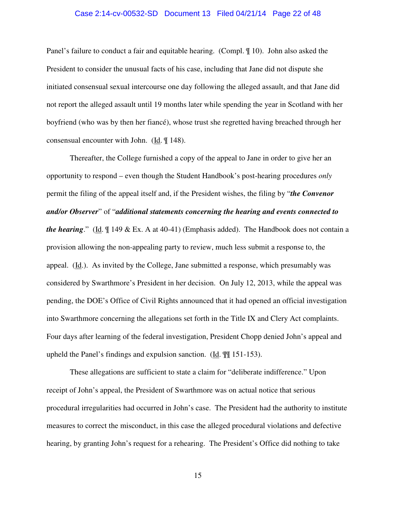#### Case 2:14-cv-00532-SD Document 13 Filed 04/21/14 Page 22 of 48

Panel's failure to conduct a fair and equitable hearing. (Compl. ¶ 10). John also asked the President to consider the unusual facts of his case, including that Jane did not dispute she initiated consensual sexual intercourse one day following the alleged assault, and that Jane did not report the alleged assault until 19 months later while spending the year in Scotland with her boyfriend (who was by then her fiancé), whose trust she regretted having breached through her consensual encounter with John. (Id. ¶ 148).

 Thereafter, the College furnished a copy of the appeal to Jane in order to give her an opportunity to respond – even though the Student Handbook's post-hearing procedures *only* permit the filing of the appeal itself and, if the President wishes, the filing by "*the Convenor and/or Observer*" of "*additional statements concerning the hearing and events connected to the hearing*." (Id. ¶ 149 & Ex. A at 40-41) (Emphasis added). The Handbook does not contain a provision allowing the non-appealing party to review, much less submit a response to, the appeal.  $(\underline{Id})$ . As invited by the College, Jane submitted a response, which presumably was considered by Swarthmore's President in her decision. On July 12, 2013, while the appeal was pending, the DOE's Office of Civil Rights announced that it had opened an official investigation into Swarthmore concerning the allegations set forth in the Title IX and Clery Act complaints. Four days after learning of the federal investigation, President Chopp denied John's appeal and upheld the Panel's findings and expulsion sanction. (Id. ¶¶ 151-153).

 These allegations are sufficient to state a claim for "deliberate indifference." Upon receipt of John's appeal, the President of Swarthmore was on actual notice that serious procedural irregularities had occurred in John's case. The President had the authority to institute measures to correct the misconduct, in this case the alleged procedural violations and defective hearing, by granting John's request for a rehearing. The President's Office did nothing to take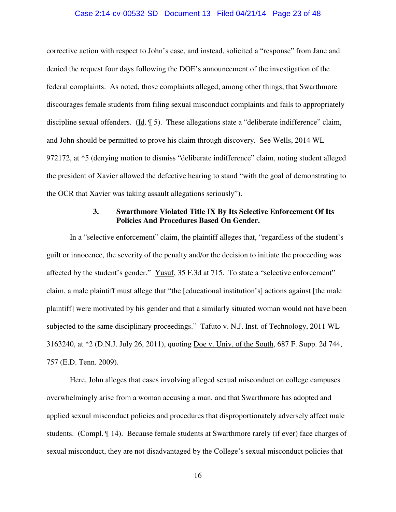#### Case 2:14-cv-00532-SD Document 13 Filed 04/21/14 Page 23 of 48

corrective action with respect to John's case, and instead, solicited a "response" from Jane and denied the request four days following the DOE's announcement of the investigation of the federal complaints. As noted, those complaints alleged, among other things, that Swarthmore discourages female students from filing sexual misconduct complaints and fails to appropriately discipline sexual offenders. (Id. ¶ 5). These allegations state a "deliberate indifference" claim, and John should be permitted to prove his claim through discovery. See Wells, 2014 WL 972172, at \*5 (denying motion to dismiss "deliberate indifference" claim, noting student alleged the president of Xavier allowed the defective hearing to stand "with the goal of demonstrating to the OCR that Xavier was taking assault allegations seriously").

## **3. Swarthmore Violated Title IX By Its Selective Enforcement Of Its Policies And Procedures Based On Gender.**

 In a "selective enforcement" claim, the plaintiff alleges that, "regardless of the student's guilt or innocence, the severity of the penalty and/or the decision to initiate the proceeding was affected by the student's gender." Yusuf, 35 F.3d at 715. To state a "selective enforcement" claim, a male plaintiff must allege that "the [educational institution's] actions against [the male plaintiff] were motivated by his gender and that a similarly situated woman would not have been subjected to the same disciplinary proceedings." Tafuto v. N.J. Inst. of Technology, 2011 WL 3163240, at \*2 (D.N.J. July 26, 2011), quoting Doe v. Univ. of the South, 687 F. Supp. 2d 744, 757 (E.D. Tenn. 2009).

Here, John alleges that cases involving alleged sexual misconduct on college campuses overwhelmingly arise from a woman accusing a man, and that Swarthmore has adopted and applied sexual misconduct policies and procedures that disproportionately adversely affect male students. (Compl. ¶ 14). Because female students at Swarthmore rarely (if ever) face charges of sexual misconduct, they are not disadvantaged by the College's sexual misconduct policies that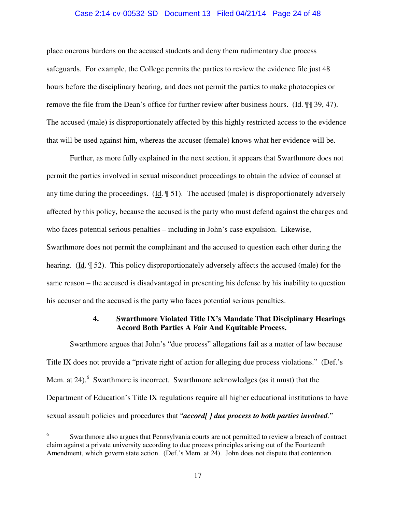#### Case 2:14-cv-00532-SD Document 13 Filed 04/21/14 Page 24 of 48

place onerous burdens on the accused students and deny them rudimentary due process safeguards. For example, the College permits the parties to review the evidence file just 48 hours before the disciplinary hearing, and does not permit the parties to make photocopies or remove the file from the Dean's office for further review after business hours. (Id. ¶¶ 39, 47). The accused (male) is disproportionately affected by this highly restricted access to the evidence that will be used against him, whereas the accuser (female) knows what her evidence will be.

Further, as more fully explained in the next section, it appears that Swarthmore does not permit the parties involved in sexual misconduct proceedings to obtain the advice of counsel at any time during the proceedings. (Id.  $\parallel$  51). The accused (male) is disproportionately adversely affected by this policy, because the accused is the party who must defend against the charges and who faces potential serious penalties – including in John's case expulsion. Likewise, Swarthmore does not permit the complainant and the accused to question each other during the hearing. (Id. ¶ 52). This policy disproportionately adversely affects the accused (male) for the same reason – the accused is disadvantaged in presenting his defense by his inability to question his accuser and the accused is the party who faces potential serious penalties.

## **4. Swarthmore Violated Title IX's Mandate That Disciplinary Hearings Accord Both Parties A Fair And Equitable Process.**

 Swarthmore argues that John's "due process" allegations fail as a matter of law because Title IX does not provide a "private right of action for alleging due process violations." (Def.'s Mem. at 24). $<sup>6</sup>$  Swarthmore is incorrect. Swarthmore acknowledges (as it must) that the</sup> Department of Education's Title IX regulations require all higher educational institutions to have sexual assault policies and procedures that "*accord[ ] due process to both parties involved*."

 $\overline{a}$ 

<sup>6</sup> Swarthmore also argues that Pennsylvania courts are not permitted to review a breach of contract claim against a private university according to due process principles arising out of the Fourteenth Amendment, which govern state action. (Def.'s Mem. at 24). John does not dispute that contention.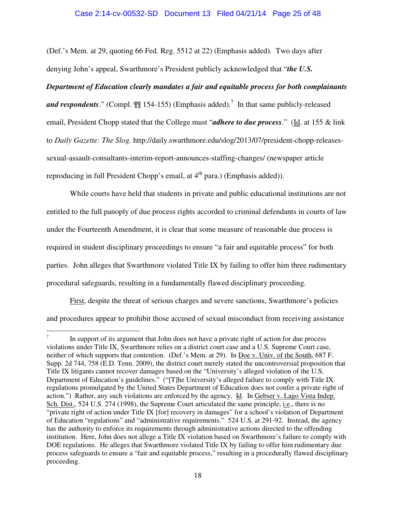#### Case 2:14-cv-00532-SD Document 13 Filed 04/21/14 Page 25 of 48

(Def.'s Mem. at 29, quoting 66 Fed. Reg. 5512 at 22) (Emphasis added). Two days after denying John's appeal, Swarthmore's President publicly acknowledged that "*the U.S.* 

#### *Department of Education clearly mandates a fair and equitable process for both complainants*

and respondents." (Compl.  $\mathbb{I}$  154-155) (Emphasis added).<sup>7</sup> In that same publicly-released email, President Chopp stated that the College must "*adhere to due process*." (Id. at 155 & link to *Daily Gazette: The Slog.* http://daily.swarthmore.edu/slog/2013/07/president-chopp-releasessexual-assault-consultants-interim-report-announces-staffing-changes/ (newspaper article reproducing in full President Chopp's email, at  $4<sup>th</sup>$  para.) (Emphasis added)).

 While courts have held that students in private and public educational institutions are not entitled to the full panoply of due process rights accorded to criminal defendants in courts of law under the Fourteenth Amendment, it is clear that some measure of reasonable due process is required in student disciplinary proceedings to ensure "a fair and equitable process" for both parties. John alleges that Swarthmore violated Title IX by failing to offer him three rudimentary procedural safeguards, resulting in a fundamentally flawed disciplinary proceeding.

First, despite the threat of serious charges and severe sanctions, Swarthmore's policies and procedures appear to prohibit those accused of sexual misconduct from receiving assistance

<u>.</u>

<sup>7</sup> In support of its argument that John does not have a private right of action for due process violations under Title IX, Swarthmore relies on a district court case and a U.S. Supreme Court case, neither of which supports that contention. (Def.'s Mem. at 29). In Doe v. Univ. of the South, 687 F. Supp. 2d 744, 758 (E.D. Tenn. 2009), the district court merely stated the uncontroversial proposition that Title IX litigants cannot recover damages based on the "University's alleged violation of the U.S. Department of Education's guidelines." ("[T]he University's alleged failure to comply with Title IX regulations promulgated by the United States Department of Education does not confer a private right of action.") Rather, any such violations are enforced by the agency. Id. In Gebser v. Lago Vista Indep. Sch. Dist., 524 U.S. 274 (1998), the Supreme Court articulated the same principle, i.e., there is no "private right of action under Title IX [for] recovery in damages" for a school's violation of Department of Education "regulations" and "administrative requirements." 524 U.S. at 291-92. Instead, the agency has the authority to enforce its requirements through administrative actions directed to the offending institution. Here, John does not allege a Title IX violation based on Swarthmore's failure to comply with DOE regulations. He alleges that Swarthmore violated Title IX by failing to offer him rudimentary due process safeguards to ensure a "fair and equitable process," resulting in a procedurally flawed disciplinary proceeding.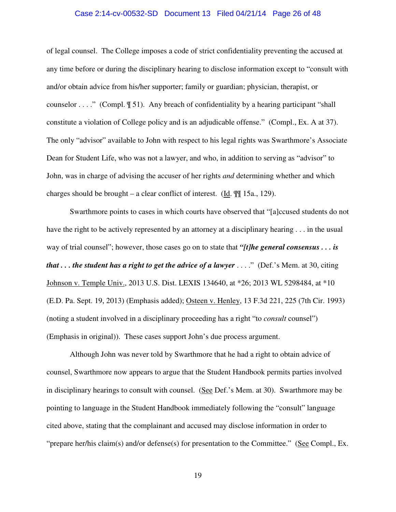#### Case 2:14-cv-00532-SD Document 13 Filed 04/21/14 Page 26 of 48

of legal counsel. The College imposes a code of strict confidentiality preventing the accused at any time before or during the disciplinary hearing to disclose information except to "consult with and/or obtain advice from his/her supporter; family or guardian; physician, therapist, or counselor  $\dots$ ." (Compl.  $\P$  51). Any breach of confidentiality by a hearing participant "shall" constitute a violation of College policy and is an adjudicable offense." (Compl., Ex. A at 37). The only "advisor" available to John with respect to his legal rights was Swarthmore's Associate Dean for Student Life, who was not a lawyer, and who, in addition to serving as "advisor" to John, was in charge of advising the accuser of her rights *and* determining whether and which charges should be brought – a clear conflict of interest. (Id.  $\mathbb{I}$  15a., 129).

 Swarthmore points to cases in which courts have observed that "[a]ccused students do not have the right to be actively represented by an attorney at a disciplinary hearing . . . in the usual way of trial counsel"; however, those cases go on to state that *"[t]he general consensus . . . is that . . . the student has a right to get the advice of a lawyer* . . . ." (Def.'s Mem. at 30, citing Johnson v. Temple Univ., 2013 U.S. Dist. LEXIS 134640, at \*26; 2013 WL 5298484, at \*10 (E.D. Pa. Sept. 19, 2013) (Emphasis added); Osteen v. Henley, 13 F.3d 221, 225 (7th Cir. 1993) (noting a student involved in a disciplinary proceeding has a right "to *consult* counsel") (Emphasis in original)). These cases support John's due process argument.

 Although John was never told by Swarthmore that he had a right to obtain advice of counsel, Swarthmore now appears to argue that the Student Handbook permits parties involved in disciplinary hearings to consult with counsel. (See Def.'s Mem. at 30). Swarthmore may be pointing to language in the Student Handbook immediately following the "consult" language cited above, stating that the complainant and accused may disclose information in order to "prepare her/his claim(s) and/or defense(s) for presentation to the Committee." (See Compl., Ex.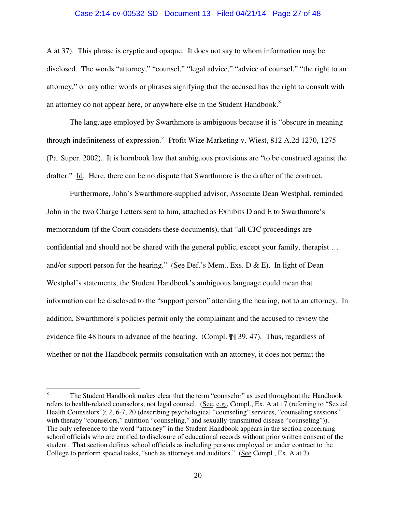#### Case 2:14-cv-00532-SD Document 13 Filed 04/21/14 Page 27 of 48

A at 37). This phrase is cryptic and opaque. It does not say to whom information may be disclosed. The words "attorney," "counsel," "legal advice," "advice of counsel," "the right to an attorney," or any other words or phrases signifying that the accused has the right to consult with an attorney do not appear here, or anywhere else in the Student Handbook. $8$ 

 The language employed by Swarthmore is ambiguous because it is "obscure in meaning through indefiniteness of expression." Profit Wize Marketing v. Wiest, 812 A.2d 1270, 1275 (Pa. Super. 2002). It is hornbook law that ambiguous provisions are "to be construed against the drafter." Id. Here, there can be no dispute that Swarthmore is the drafter of the contract.

 Furthermore, John's Swarthmore-supplied advisor, Associate Dean Westphal, reminded John in the two Charge Letters sent to him, attached as Exhibits D and E to Swarthmore's memorandum (if the Court considers these documents), that "all CJC proceedings are confidential and should not be shared with the general public, except your family, therapist … and/or support person for the hearing." (See Def.'s Mem., Exs. D  $\&$  E). In light of Dean Westphal's statements, the Student Handbook's ambiguous language could mean that information can be disclosed to the "support person" attending the hearing, not to an attorney. In addition, Swarthmore's policies permit only the complainant and the accused to review the evidence file 48 hours in advance of the hearing. (Compl. ¶¶ 39, 47). Thus, regardless of whether or not the Handbook permits consultation with an attorney, it does not permit the

 $\overline{a}$ 

<sup>8</sup> The Student Handbook makes clear that the term "counselor" as used throughout the Handbook refers to health-related counselors, not legal counsel. (See, e.g., Compl., Ex. A at 17 (referring to "Sexual Health Counselors"); 2, 6-7, 20 (describing psychological "counseling" services, "counseling sessions" with therapy "counselors," nutrition "counseling," and sexually-transmitted disease "counseling")). The only reference to the word "attorney" in the Student Handbook appears in the section concerning school officials who are entitled to disclosure of educational records without prior written consent of the student. That section defines school officials as including persons employed or under contract to the College to perform special tasks, "such as attorneys and auditors." (See Compl., Ex. A at 3).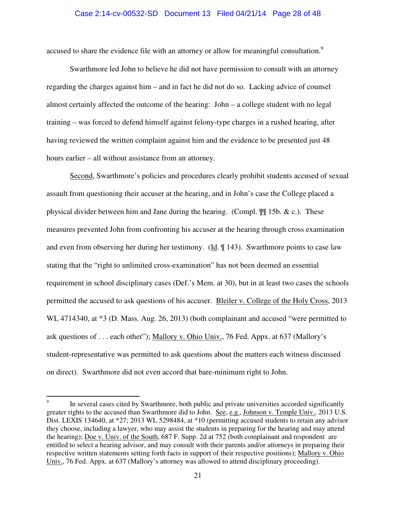#### Case 2:14-cv-00532-SD Document 13 Filed 04/21/14 Page 28 of 48

accused to share the evidence file with an attorney or allow for meaningful consultation.<sup>9</sup>

 Swarthmore led John to believe he did not have permission to consult with an attorney regarding the charges against him – and in fact he did not do so. Lacking advice of counsel almost certainly affected the outcome of the hearing: John – a college student with no legal training – was forced to defend himself against felony-type charges in a rushed hearing, after having reviewed the written complaint against him and the evidence to be presented just 48 hours earlier – all without assistance from an attorney.

 Second, Swarthmore's policies and procedures clearly prohibit students accused of sexual assault from questioning their accuser at the hearing, and in John's case the College placed a physical divider between him and Jane during the hearing. (Compl.  $\P$  15b. & c.). These measures prevented John from confronting his accuser at the hearing through cross examination and even from observing her during her testimony. (Id. ¶ 143). Swarthmore points to case law stating that the "right to unlimited cross-examination" has not been deemed an essential requirement in school disciplinary cases (Def.'s Mem. at 30), but in at least two cases the schools permitted the accused to ask questions of his accuser. Bleiler v. College of the Holy Cross, 2013 WL 4714340, at \*3 (D. Mass. Aug. 26, 2013) (both complainant and accused "were permitted to ask questions of . . . each other"); Mallory v. Ohio Univ., 76 Fed. Appx. at 637 (Mallory's student-representative was permitted to ask questions about the matters each witness discussed on direct). Swarthmore did not even accord that bare-minimum right to John.

<sup>-&</sup>lt;br>9 In several cases cited by Swarthmore, both public and private universities accorded significantly greater rights to the accused than Swarthmore did to John. See, e.g., Johnson v. Temple Univ., 2013 U.S. Dist. LEXIS 134640, at \*27; 2013 WL 5298484, at \*10 (permitting accused students to retain any advisor they choose, including a lawyer, who may assist the students in preparing for the hearing and may attend the hearing); Doe v. Univ. of the South, 687 F. Supp. 2d at 752 (both complainant and respondent are entitled to select a hearing advisor, and may consult with their parents and/or attorneys in preparing their respective written statements setting forth facts in support of their respective positions); Mallory v. Ohio Univ., 76 Fed. Appx. at 637 (Mallory's attorney was allowed to attend disciplinary proceeding).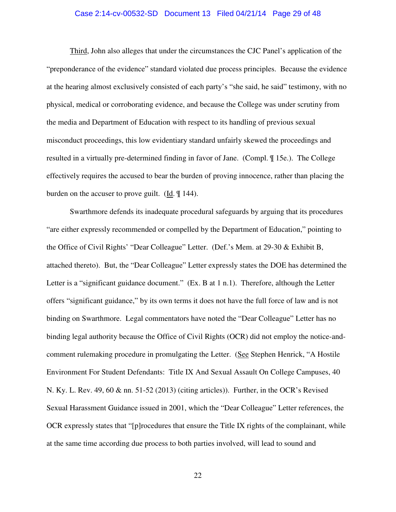#### Case 2:14-cv-00532-SD Document 13 Filed 04/21/14 Page 29 of 48

 Third, John also alleges that under the circumstances the CJC Panel's application of the "preponderance of the evidence" standard violated due process principles. Because the evidence at the hearing almost exclusively consisted of each party's "she said, he said" testimony, with no physical, medical or corroborating evidence, and because the College was under scrutiny from the media and Department of Education with respect to its handling of previous sexual misconduct proceedings, this low evidentiary standard unfairly skewed the proceedings and resulted in a virtually pre-determined finding in favor of Jane. (Compl. ¶ 15e.). The College effectively requires the accused to bear the burden of proving innocence, rather than placing the burden on the accuser to prove guilt. (Id. ¶ 144).

 Swarthmore defends its inadequate procedural safeguards by arguing that its procedures "are either expressly recommended or compelled by the Department of Education," pointing to the Office of Civil Rights' "Dear Colleague" Letter. (Def.'s Mem. at 29-30 & Exhibit B, attached thereto). But, the "Dear Colleague" Letter expressly states the DOE has determined the Letter is a "significant guidance document." (Ex. B at 1 n.1). Therefore, although the Letter offers "significant guidance," by its own terms it does not have the full force of law and is not binding on Swarthmore. Legal commentators have noted the "Dear Colleague" Letter has no binding legal authority because the Office of Civil Rights (OCR) did not employ the notice-andcomment rulemaking procedure in promulgating the Letter. (See Stephen Henrick, "A Hostile Environment For Student Defendants: Title IX And Sexual Assault On College Campuses, 40 N. Ky. L. Rev. 49, 60 & nn. 51-52 (2013) (citing articles)). Further, in the OCR's Revised Sexual Harassment Guidance issued in 2001, which the "Dear Colleague" Letter references, the OCR expressly states that "[p]rocedures that ensure the Title IX rights of the complainant, while at the same time according due process to both parties involved, will lead to sound and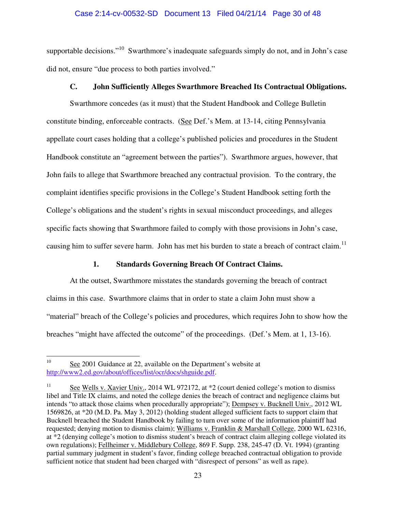## Case 2:14-cv-00532-SD Document 13 Filed 04/21/14 Page 30 of 48

supportable decisions."<sup>10</sup> Swarthmore's inadequate safeguards simply do not, and in John's case did not, ensure "due process to both parties involved."

## **C. John Sufficiently Alleges Swarthmore Breached Its Contractual Obligations.**

Swarthmore concedes (as it must) that the Student Handbook and College Bulletin constitute binding, enforceable contracts. (See Def.'s Mem. at 13-14, citing Pennsylvania appellate court cases holding that a college's published policies and procedures in the Student Handbook constitute an "agreement between the parties"). Swarthmore argues, however, that John fails to allege that Swarthmore breached any contractual provision. To the contrary, the complaint identifies specific provisions in the College's Student Handbook setting forth the College's obligations and the student's rights in sexual misconduct proceedings, and alleges specific facts showing that Swarthmore failed to comply with those provisions in John's case, causing him to suffer severe harm. John has met his burden to state a breach of contract claim.<sup>11</sup>

## **1. Standards Governing Breach Of Contract Claims.**

 At the outset, Swarthmore misstates the standards governing the breach of contract claims in this case. Swarthmore claims that in order to state a claim John must show a "material" breach of the College's policies and procedures, which requires John to show how the breaches "might have affected the outcome" of the proceedings. (Def.'s Mem. at 1, 13-16).

 $10<sup>°</sup>$ See 2001 Guidance at 22, available on the Department's website at http://www2.ed.gov/about/offices/list/ocr/docs/shguide.pdf.

<sup>&</sup>lt;sup>11</sup> See Wells v. Xavier Univ., 2014 WL 972172, at \*2 (court denied college's motion to dismiss libel and Title IX claims, and noted the college denies the breach of contract and negligence claims but intends "to attack those claims when procedurally appropriate"); Dempsey v. Bucknell Univ., 2012 WL 1569826, at \*20 (M.D. Pa. May 3, 2012) (holding student alleged sufficient facts to support claim that Bucknell breached the Student Handbook by failing to turn over some of the information plaintiff had requested; denying motion to dismiss claim); Williams v. Franklin & Marshall College, 2000 WL 62316, at \*2 (denying college's motion to dismiss student's breach of contract claim alleging college violated its own regulations); Fellheimer v. Middlebury College, 869 F. Supp. 238, 245-47 (D. Vt. 1994) (granting partial summary judgment in student's favor, finding college breached contractual obligation to provide sufficient notice that student had been charged with "disrespect of persons" as well as rape).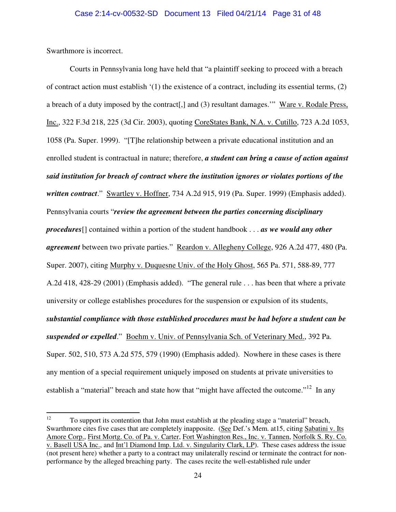Swarthmore is incorrect.

 Courts in Pennsylvania long have held that "a plaintiff seeking to proceed with a breach of contract action must establish  $(1)$  the existence of a contract, including its essential terms,  $(2)$ a breach of a duty imposed by the contract[,] and (3) resultant damages.'" Ware v. Rodale Press, Inc., 322 F.3d 218, 225 (3d Cir. 2003), quoting CoreStates Bank, N.A. v. Cutillo, 723 A.2d 1053, 1058 (Pa. Super. 1999). "[T]he relationship between a private educational institution and an enrolled student is contractual in nature; therefore, *a student can bring a cause of action against said institution for breach of contract where the institution ignores or violates portions of the written contract*." Swartley v. Hoffner, 734 A.2d 915, 919 (Pa. Super. 1999) (Emphasis added). Pennsylvania courts "*review the agreement between the parties concerning disciplinary procedures*[] contained within a portion of the student handbook . . . *as we would any other agreement* between two private parties." Reardon v. Allegheny College, 926 A.2d 477, 480 (Pa. Super. 2007), citing Murphy v. Duquesne Univ. of the Holy Ghost, 565 Pa. 571, 588-89, 777 A.2d 418, 428-29 (2001) (Emphasis added). "The general rule . . . has been that where a private university or college establishes procedures for the suspension or expulsion of its students, *substantial compliance with those established procedures must be had before a student can be suspended or expelled*." Boehm v. Univ. of Pennsylvania Sch. of Veterinary Med., 392 Pa. Super. 502, 510, 573 A.2d 575, 579 (1990) (Emphasis added). Nowhere in these cases is there any mention of a special requirement uniquely imposed on students at private universities to establish a "material" breach and state how that "might have affected the outcome."<sup>12</sup> In any

<sup>12</sup> <sup>12</sup> To support its contention that John must establish at the pleading stage a "material" breach, Swarthmore cites five cases that are completely inapposite. (See Def.'s Mem. at15, citing Sabatini v. Its Amore Corp., First Mortg. Co. of Pa. v. Carter, Fort Washington Res., Inc. v. Tannen, Norfolk S. Ry. Co. v. Basell USA Inc., and Int'l Diamond Imp. Ltd. v. Singularity Clark, LP). These cases address the issue (not present here) whether a party to a contract may unilaterally rescind or terminate the contract for nonperformance by the alleged breaching party. The cases recite the well-established rule under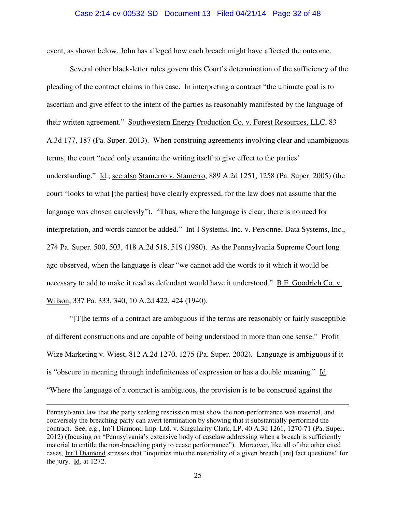#### Case 2:14-cv-00532-SD Document 13 Filed 04/21/14 Page 32 of 48

event, as shown below, John has alleged how each breach might have affected the outcome.

 Several other black-letter rules govern this Court's determination of the sufficiency of the pleading of the contract claims in this case. In interpreting a contract "the ultimate goal is to ascertain and give effect to the intent of the parties as reasonably manifested by the language of their written agreement." Southwestern Energy Production Co. v. Forest Resources, LLC, 83 A.3d 177, 187 (Pa. Super. 2013). When construing agreements involving clear and unambiguous terms, the court "need only examine the writing itself to give effect to the parties' understanding." Id.; see also Stamerro v. Stamerro, 889 A.2d 1251, 1258 (Pa. Super. 2005) (the court "looks to what [the parties] have clearly expressed, for the law does not assume that the language was chosen carelessly"). "Thus, where the language is clear, there is no need for interpretation, and words cannot be added." Int'l Systems, Inc. v. Personnel Data Systems, Inc., 274 Pa. Super. 500, 503, 418 A.2d 518, 519 (1980). As the Pennsylvania Supreme Court long ago observed, when the language is clear "we cannot add the words to it which it would be necessary to add to make it read as defendant would have it understood." B.F. Goodrich Co. v. Wilson, 337 Pa. 333, 340, 10 A.2d 422, 424 (1940).

 "[T]he terms of a contract are ambiguous if the terms are reasonably or fairly susceptible of different constructions and are capable of being understood in more than one sense." Profit Wize Marketing v. Wiest, 812 A.2d 1270, 1275 (Pa. Super. 2002). Language is ambiguous if it is "obscure in meaning through indefiniteness of expression or has a double meaning." Id. "Where the language of a contract is ambiguous, the provision is to be construed against the

-

Pennsylvania law that the party seeking rescission must show the non-performance was material, and conversely the breaching party can avert termination by showing that it substantially performed the contract. See, e.g., Int'l Diamond Imp. Ltd. v. Singularity Clark, LP, 40 A.3d 1261, 1270-71 (Pa. Super. 2012) (focusing on "Pennsylvania's extensive body of caselaw addressing when a breach is sufficiently material to entitle the non-breaching party to cease performance"). Moreover, like all of the other cited cases, Int'l Diamond stresses that "inquiries into the materiality of a given breach [are] fact questions" for the jury. Id. at 1272.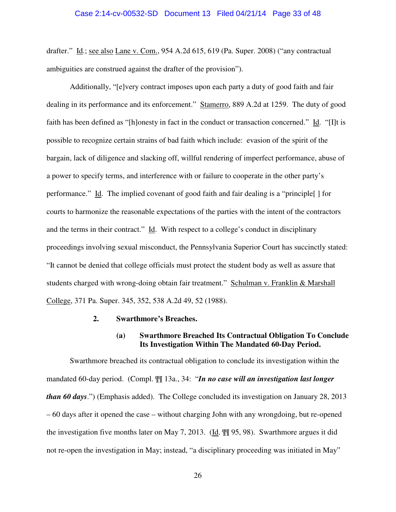#### Case 2:14-cv-00532-SD Document 13 Filed 04/21/14 Page 33 of 48

drafter." Id.; see also Lane v. Com., 954 A.2d 615, 619 (Pa. Super. 2008) ("any contractual ambiguities are construed against the drafter of the provision").

 Additionally, "[e]very contract imposes upon each party a duty of good faith and fair dealing in its performance and its enforcement." Stamerro, 889 A.2d at 1259. The duty of good faith has been defined as "[h]onesty in fact in the conduct or transaction concerned." Id. "[I]t is possible to recognize certain strains of bad faith which include: evasion of the spirit of the bargain, lack of diligence and slacking off, willful rendering of imperfect performance, abuse of a power to specify terms, and interference with or failure to cooperate in the other party's performance." Id. The implied covenant of good faith and fair dealing is a "principle[ ] for courts to harmonize the reasonable expectations of the parties with the intent of the contractors and the terms in their contract." Id. With respect to a college's conduct in disciplinary proceedings involving sexual misconduct, the Pennsylvania Superior Court has succinctly stated: "It cannot be denied that college officials must protect the student body as well as assure that students charged with wrong-doing obtain fair treatment." Schulman v. Franklin & Marshall College, 371 Pa. Super. 345, 352, 538 A.2d 49, 52 (1988).

#### **2. Swarthmore's Breaches.**

## **(a) Swarthmore Breached Its Contractual Obligation To Conclude Its Investigation Within The Mandated 60-Day Period.**

 Swarthmore breached its contractual obligation to conclude its investigation within the mandated 60-day period. (Compl. ¶¶ 13a., 34: "*In no case will an investigation last longer than 60 days*.") (Emphasis added). The College concluded its investigation on January 28, 2013 – 60 days after it opened the case – without charging John with any wrongdoing, but re-opened the investigation five months later on May 7, 2013. (Id.  $\mathbb{II}$  95, 98). Swarthmore argues it did not re-open the investigation in May; instead, "a disciplinary proceeding was initiated in May"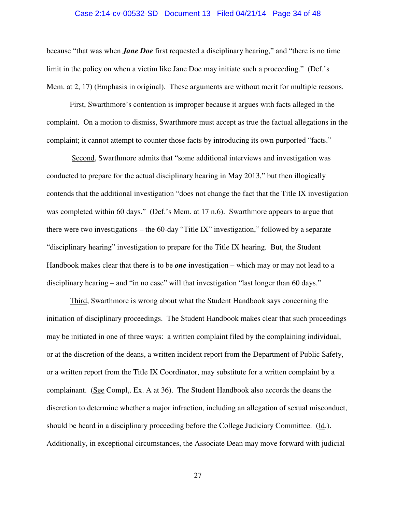#### Case 2:14-cv-00532-SD Document 13 Filed 04/21/14 Page 34 of 48

because "that was when *Jane Doe* first requested a disciplinary hearing," and "there is no time limit in the policy on when a victim like Jane Doe may initiate such a proceeding." (Def.'s Mem. at 2, 17) (Emphasis in original). These arguments are without merit for multiple reasons.

 First, Swarthmore's contention is improper because it argues with facts alleged in the complaint. On a motion to dismiss, Swarthmore must accept as true the factual allegations in the complaint; it cannot attempt to counter those facts by introducing its own purported "facts."

 Second, Swarthmore admits that "some additional interviews and investigation was conducted to prepare for the actual disciplinary hearing in May 2013," but then illogically contends that the additional investigation "does not change the fact that the Title IX investigation was completed within 60 days." (Def.'s Mem. at 17 n.6). Swarthmore appears to argue that there were two investigations – the 60-day "Title IX" investigation," followed by a separate "disciplinary hearing" investigation to prepare for the Title IX hearing. But, the Student Handbook makes clear that there is to be *one* investigation – which may or may not lead to a disciplinary hearing – and "in no case" will that investigation "last longer than 60 days."

 Third, Swarthmore is wrong about what the Student Handbook says concerning the initiation of disciplinary proceedings. The Student Handbook makes clear that such proceedings may be initiated in one of three ways: a written complaint filed by the complaining individual, or at the discretion of the deans, a written incident report from the Department of Public Safety, or a written report from the Title IX Coordinator, may substitute for a written complaint by a complainant. (See Compl,. Ex. A at 36). The Student Handbook also accords the deans the discretion to determine whether a major infraction, including an allegation of sexual misconduct, should be heard in a disciplinary proceeding before the College Judiciary Committee. (Id.). Additionally, in exceptional circumstances, the Associate Dean may move forward with judicial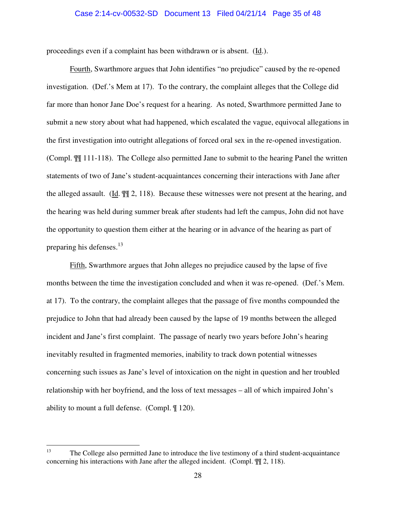#### Case 2:14-cv-00532-SD Document 13 Filed 04/21/14 Page 35 of 48

proceedings even if a complaint has been withdrawn or is absent. (Id.).

 Fourth, Swarthmore argues that John identifies "no prejudice" caused by the re-opened investigation. (Def.'s Mem at 17). To the contrary, the complaint alleges that the College did far more than honor Jane Doe's request for a hearing. As noted, Swarthmore permitted Jane to submit a new story about what had happened, which escalated the vague, equivocal allegations in the first investigation into outright allegations of forced oral sex in the re-opened investigation. (Compl. ¶¶ 111-118). The College also permitted Jane to submit to the hearing Panel the written statements of two of Jane's student-acquaintances concerning their interactions with Jane after the alleged assault. (Id. ¶¶ 2, 118). Because these witnesses were not present at the hearing, and the hearing was held during summer break after students had left the campus, John did not have the opportunity to question them either at the hearing or in advance of the hearing as part of preparing his defenses.<sup>13</sup>

 Fifth, Swarthmore argues that John alleges no prejudice caused by the lapse of five months between the time the investigation concluded and when it was re-opened. (Def.'s Mem. at 17). To the contrary, the complaint alleges that the passage of five months compounded the prejudice to John that had already been caused by the lapse of 19 months between the alleged incident and Jane's first complaint. The passage of nearly two years before John's hearing inevitably resulted in fragmented memories, inability to track down potential witnesses concerning such issues as Jane's level of intoxication on the night in question and her troubled relationship with her boyfriend, and the loss of text messages – all of which impaired John's ability to mount a full defense. (Compl. ¶ 120).

<sup>13</sup> <sup>13</sup> The College also permitted Jane to introduce the live testimony of a third student-acquaintance concerning his interactions with Jane after the alleged incident. (Compl. ¶¶ 2, 118).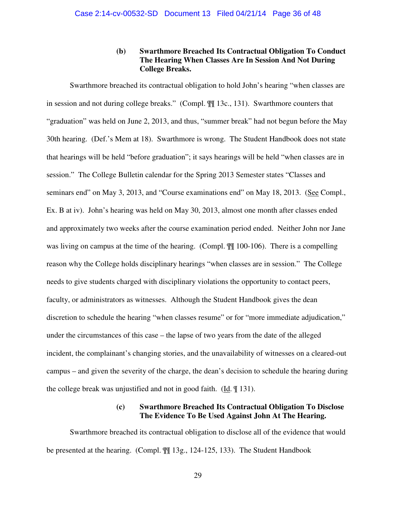## **(b) Swarthmore Breached Its Contractual Obligation To Conduct The Hearing When Classes Are In Session And Not During College Breaks.**

Swarthmore breached its contractual obligation to hold John's hearing "when classes are in session and not during college breaks." (Compl. ¶¶ 13c., 131). Swarthmore counters that "graduation" was held on June 2, 2013, and thus, "summer break" had not begun before the May 30th hearing. (Def.'s Mem at 18). Swarthmore is wrong. The Student Handbook does not state that hearings will be held "before graduation"; it says hearings will be held "when classes are in session." The College Bulletin calendar for the Spring 2013 Semester states "Classes and seminars end" on May 3, 2013, and "Course examinations end" on May 18, 2013. (See Compl., Ex. B at iv). John's hearing was held on May 30, 2013, almost one month after classes ended and approximately two weeks after the course examination period ended. Neither John nor Jane was living on campus at the time of the hearing. (Compl. ¶¶ 100-106). There is a compelling reason why the College holds disciplinary hearings "when classes are in session." The College needs to give students charged with disciplinary violations the opportunity to contact peers, faculty, or administrators as witnesses. Although the Student Handbook gives the dean discretion to schedule the hearing "when classes resume" or for "more immediate adjudication," under the circumstances of this case – the lapse of two years from the date of the alleged incident, the complainant's changing stories, and the unavailability of witnesses on a cleared-out campus – and given the severity of the charge, the dean's decision to schedule the hearing during the college break was unjustified and not in good faith. (Id. ¶ 131).

## **(c) Swarthmore Breached Its Contractual Obligation To Disclose The Evidence To Be Used Against John At The Hearing.**

Swarthmore breached its contractual obligation to disclose all of the evidence that would be presented at the hearing. (Compl. ¶¶ 13g., 124-125, 133). The Student Handbook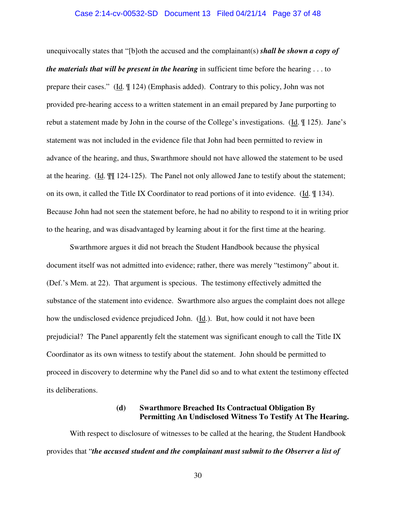#### Case 2:14-cv-00532-SD Document 13 Filed 04/21/14 Page 37 of 48

unequivocally states that "[b]oth the accused and the complainant(s) *shall be shown a copy of the materials that will be present in the hearing* in sufficient time before the hearing . . . to prepare their cases." (Id. ¶ 124) (Emphasis added). Contrary to this policy, John was not provided pre-hearing access to a written statement in an email prepared by Jane purporting to rebut a statement made by John in the course of the College's investigations. (Id. ¶ 125). Jane's statement was not included in the evidence file that John had been permitted to review in advance of the hearing, and thus, Swarthmore should not have allowed the statement to be used at the hearing. (Id. ¶¶ 124-125). The Panel not only allowed Jane to testify about the statement; on its own, it called the Title IX Coordinator to read portions of it into evidence. (Id. ¶ 134). Because John had not seen the statement before, he had no ability to respond to it in writing prior to the hearing, and was disadvantaged by learning about it for the first time at the hearing.

Swarthmore argues it did not breach the Student Handbook because the physical document itself was not admitted into evidence; rather, there was merely "testimony" about it. (Def.'s Mem. at 22). That argument is specious. The testimony effectively admitted the substance of the statement into evidence. Swarthmore also argues the complaint does not allege how the undisclosed evidence prejudiced John. (Id.). But, how could it not have been prejudicial? The Panel apparently felt the statement was significant enough to call the Title IX Coordinator as its own witness to testify about the statement. John should be permitted to proceed in discovery to determine why the Panel did so and to what extent the testimony effected its deliberations.

## **(d) Swarthmore Breached Its Contractual Obligation By Permitting An Undisclosed Witness To Testify At The Hearing.**

 With respect to disclosure of witnesses to be called at the hearing, the Student Handbook provides that "*the accused student and the complainant must submit to the Observer a list of*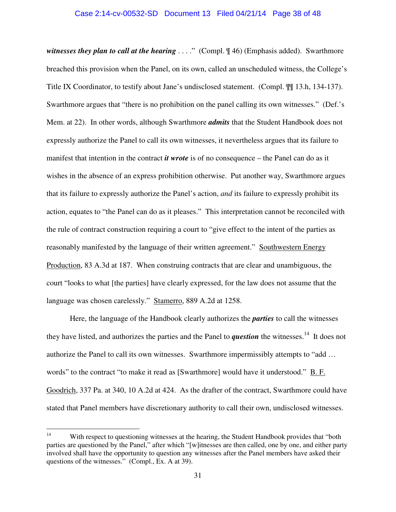#### Case 2:14-cv-00532-SD Document 13 Filed 04/21/14 Page 38 of 48

*witnesses they plan to call at the hearing ....*" (Compl.  $\P$ 46) (Emphasis added). Swarthmore breached this provision when the Panel, on its own, called an unscheduled witness, the College's Title IX Coordinator, to testify about Jane's undisclosed statement. (Compl. ¶¶ 13.h, 134-137). Swarthmore argues that "there is no prohibition on the panel calling its own witnesses." (Def.'s Mem. at 22). In other words, although Swarthmore *admits* that the Student Handbook does not expressly authorize the Panel to call its own witnesses, it nevertheless argues that its failure to manifest that intention in the contract *it wrote* is of no consequence – the Panel can do as it wishes in the absence of an express prohibition otherwise. Put another way, Swarthmore argues that its failure to expressly authorize the Panel's action, *and* its failure to expressly prohibit its action, equates to "the Panel can do as it pleases." This interpretation cannot be reconciled with the rule of contract construction requiring a court to "give effect to the intent of the parties as reasonably manifested by the language of their written agreement." Southwestern Energy Production, 83 A.3d at 187. When construing contracts that are clear and unambiguous, the court "looks to what [the parties] have clearly expressed, for the law does not assume that the language was chosen carelessly." Stamerro, 889 A.2d at 1258.

 Here, the language of the Handbook clearly authorizes the *parties* to call the witnesses they have listed, and authorizes the parties and the Panel to *question* the witnesses.<sup>14</sup> It does not authorize the Panel to call its own witnesses. Swarthmore impermissibly attempts to "add … words" to the contract "to make it read as [Swarthmore] would have it understood." B. F. Goodrich, 337 Pa. at 340, 10 A.2d at 424. As the drafter of the contract, Swarthmore could have stated that Panel members have discretionary authority to call their own, undisclosed witnesses.

 $14$ With respect to questioning witnesses at the hearing, the Student Handbook provides that "both parties are questioned by the Panel," after which "[w]itnesses are then called, one by one, and either party involved shall have the opportunity to question any witnesses after the Panel members have asked their questions of the witnesses." (Compl., Ex. A at 39).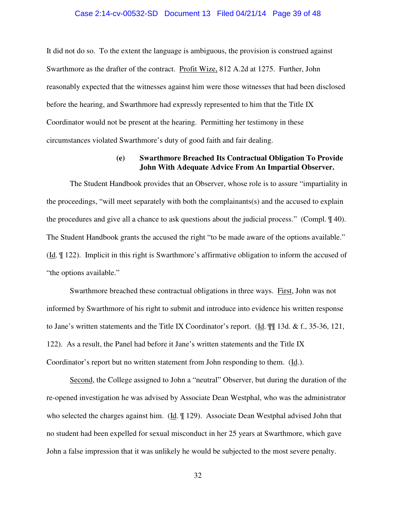# Case 2:14-cv-00532-SD Document 13 Filed 04/21/14 Page 39 of 48

It did not do so. To the extent the language is ambiguous, the provision is construed against Swarthmore as the drafter of the contract. Profit Wize, 812 A.2d at 1275. Further, John reasonably expected that the witnesses against him were those witnesses that had been disclosed before the hearing, and Swarthmore had expressly represented to him that the Title IX Coordinator would not be present at the hearing. Permitting her testimony in these circumstances violated Swarthmore's duty of good faith and fair dealing.

## **(e) Swarthmore Breached Its Contractual Obligation To Provide John With Adequate Advice From An Impartial Observer.**

 The Student Handbook provides that an Observer, whose role is to assure "impartiality in the proceedings, "will meet separately with both the complainants(s) and the accused to explain the procedures and give all a chance to ask questions about the judicial process." (Compl. ¶ 40). The Student Handbook grants the accused the right "to be made aware of the options available." (Id. ¶ 122). Implicit in this right is Swarthmore's affirmative obligation to inform the accused of "the options available."

Swarthmore breached these contractual obligations in three ways. First, John was not informed by Swarthmore of his right to submit and introduce into evidence his written response to Jane's written statements and the Title IX Coordinator's report. (Id. ¶¶ 13d. & f., 35-36, 121, 122). As a result, the Panel had before it Jane's written statements and the Title IX Coordinator's report but no written statement from John responding to them. (Id.).

 Second, the College assigned to John a "neutral" Observer, but during the duration of the re-opened investigation he was advised by Associate Dean Westphal, who was the administrator who selected the charges against him. (Id.  $\parallel$  129). Associate Dean Westphal advised John that no student had been expelled for sexual misconduct in her 25 years at Swarthmore, which gave John a false impression that it was unlikely he would be subjected to the most severe penalty.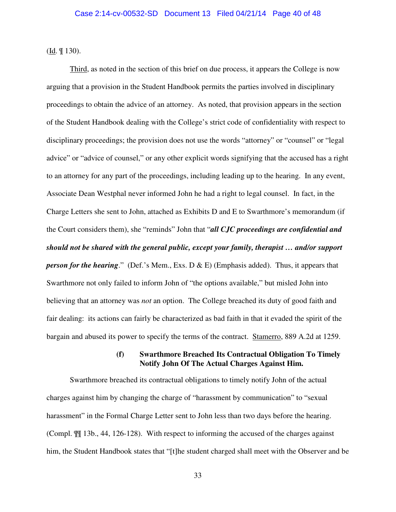(Id. ¶ 130).

 Third, as noted in the section of this brief on due process, it appears the College is now arguing that a provision in the Student Handbook permits the parties involved in disciplinary proceedings to obtain the advice of an attorney. As noted, that provision appears in the section of the Student Handbook dealing with the College's strict code of confidentiality with respect to disciplinary proceedings; the provision does not use the words "attorney" or "counsel" or "legal advice" or "advice of counsel," or any other explicit words signifying that the accused has a right to an attorney for any part of the proceedings, including leading up to the hearing. In any event, Associate Dean Westphal never informed John he had a right to legal counsel. In fact, in the Charge Letters she sent to John, attached as Exhibits D and E to Swarthmore's memorandum (if the Court considers them), she "reminds" John that "*all CJC proceedings are confidential and should not be shared with the general public, except your family, therapist … and/or support person for the hearing.*" (Def.'s Mem., Exs. D & E) (Emphasis added). Thus, it appears that Swarthmore not only failed to inform John of "the options available," but misled John into believing that an attorney was *not* an option. The College breached its duty of good faith and fair dealing: its actions can fairly be characterized as bad faith in that it evaded the spirit of the bargain and abused its power to specify the terms of the contract. Stamerro, 889 A.2d at 1259.

## **(f) Swarthmore Breached Its Contractual Obligation To Timely Notify John Of The Actual Charges Against Him.**

 Swarthmore breached its contractual obligations to timely notify John of the actual charges against him by changing the charge of "harassment by communication" to "sexual harassment" in the Formal Charge Letter sent to John less than two days before the hearing. (Compl. ¶¶ 13b., 44, 126-128). With respect to informing the accused of the charges against him, the Student Handbook states that "[t]he student charged shall meet with the Observer and be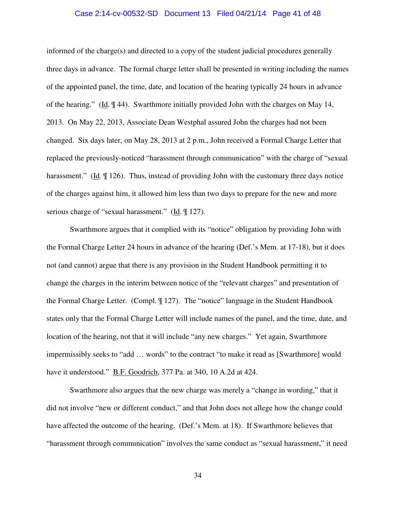#### Case 2:14-cv-00532-SD Document 13 Filed 04/21/14 Page 41 of 48

informed of the charge(s) and directed to a copy of the student judicial procedures generally three days in advance. The formal charge letter shall be presented in writing including the names of the appointed panel, the time, date, and location of the hearing typically 24 hours in advance of the hearing." (Id. ¶ 44). Swarthmore initially provided John with the charges on May 14, 2013. On May 22, 2013, Associate Dean Westphal assured John the charges had not been changed. Six days later, on May 28, 2013 at 2 p.m., John received a Formal Charge Letter that replaced the previously-noticed "harassment through communication" with the charge of "sexual harassment." (Id.  $\parallel$  126). Thus, instead of providing John with the customary three days notice of the charges against him, it allowed him less than two days to prepare for the new and more serious charge of "sexual harassment." (Id.  $\mathbb{I}$  127).

 Swarthmore argues that it complied with its "notice" obligation by providing John with the Formal Charge Letter 24 hours in advance of the hearing (Def.'s Mem. at 17-18), but it does not (and cannot) argue that there is any provision in the Student Handbook permitting it to change the charges in the interim between notice of the "relevant charges" and presentation of the Formal Charge Letter. (Compl. ¶ 127). The "notice" language in the Student Handbook states only that the Formal Charge Letter will include names of the panel, and the time, date, and location of the hearing, not that it will include "any new charges." Yet again, Swarthmore impermissibly seeks to "add … words" to the contract "to make it read as [Swarthmore] would have it understood." B.F. Goodrich, 377 Pa. at 340, 10 A.2d at 424.

 Swarthmore also argues that the new charge was merely a "change in wording," that it did not involve "new or different conduct," and that John does not allege how the change could have affected the outcome of the hearing. (Def.'s Mem. at 18). If Swarthmore believes that "harassment through communication" involves the same conduct as "sexual harassment," it need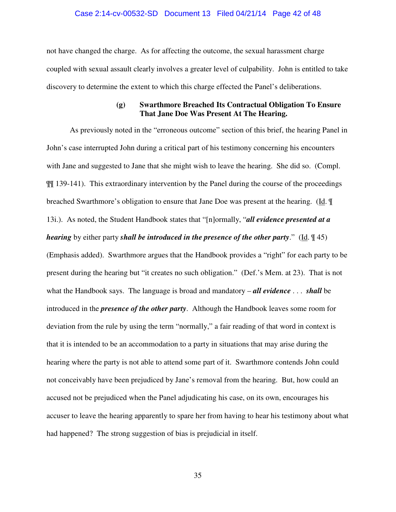# Case 2:14-cv-00532-SD Document 13 Filed 04/21/14 Page 42 of 48

not have changed the charge. As for affecting the outcome, the sexual harassment charge coupled with sexual assault clearly involves a greater level of culpability. John is entitled to take discovery to determine the extent to which this charge effected the Panel's deliberations.

## **(g) Swarthmore Breached Its Contractual Obligation To Ensure That Jane Doe Was Present At The Hearing.**

 As previously noted in the "erroneous outcome" section of this brief, the hearing Panel in John's case interrupted John during a critical part of his testimony concerning his encounters with Jane and suggested to Jane that she might wish to leave the hearing. She did so. (Compl. ¶¶ 139-141). This extraordinary intervention by the Panel during the course of the proceedings breached Swarthmore's obligation to ensure that Jane Doe was present at the hearing. (Id. ¶ 13i.). As noted, the Student Handbook states that "[n]ormally, "*all evidence presented at a hearing* by either party *shall be introduced in the presence of the other party.*" (Id.  $\left(\frac{45}{5}\right)$ (Emphasis added). Swarthmore argues that the Handbook provides a "right" for each party to be present during the hearing but "it creates no such obligation." (Def.'s Mem. at 23). That is not what the Handbook says. The language is broad and mandatory – *all evidence* . . . *shall* be introduced in the *presence of the other party*. Although the Handbook leaves some room for deviation from the rule by using the term "normally," a fair reading of that word in context is that it is intended to be an accommodation to a party in situations that may arise during the hearing where the party is not able to attend some part of it. Swarthmore contends John could not conceivably have been prejudiced by Jane's removal from the hearing. But, how could an accused not be prejudiced when the Panel adjudicating his case, on its own, encourages his accuser to leave the hearing apparently to spare her from having to hear his testimony about what had happened? The strong suggestion of bias is prejudicial in itself.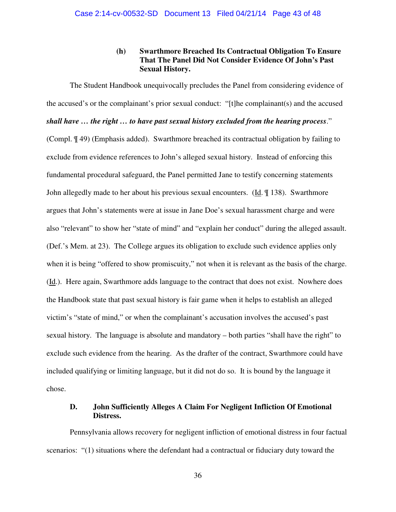## **(h) Swarthmore Breached Its Contractual Obligation To Ensure That The Panel Did Not Consider Evidence Of John's Past Sexual History.**

 The Student Handbook unequivocally precludes the Panel from considering evidence of the accused's or the complainant's prior sexual conduct: "[t]he complainant(s) and the accused *shall have … the right … to have past sexual history excluded from the hearing process*." (Compl. ¶ 49) (Emphasis added). Swarthmore breached its contractual obligation by failing to exclude from evidence references to John's alleged sexual history. Instead of enforcing this fundamental procedural safeguard, the Panel permitted Jane to testify concerning statements John allegedly made to her about his previous sexual encounters. (Id. ¶ 138). Swarthmore argues that John's statements were at issue in Jane Doe's sexual harassment charge and were also "relevant" to show her "state of mind" and "explain her conduct" during the alleged assault. (Def.'s Mem. at 23). The College argues its obligation to exclude such evidence applies only when it is being "offered to show promiscuity," not when it is relevant as the basis of the charge. (Id.). Here again, Swarthmore adds language to the contract that does not exist. Nowhere does the Handbook state that past sexual history is fair game when it helps to establish an alleged victim's "state of mind," or when the complainant's accusation involves the accused's past sexual history. The language is absolute and mandatory – both parties "shall have the right" to exclude such evidence from the hearing. As the drafter of the contract, Swarthmore could have included qualifying or limiting language, but it did not do so. It is bound by the language it chose.

## **D. John Sufficiently Alleges A Claim For Negligent Infliction Of Emotional Distress.**

 Pennsylvania allows recovery for negligent infliction of emotional distress in four factual scenarios: "(1) situations where the defendant had a contractual or fiduciary duty toward the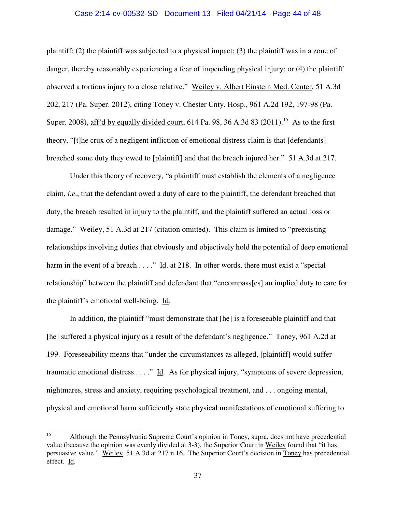#### Case 2:14-cv-00532-SD Document 13 Filed 04/21/14 Page 44 of 48

plaintiff; (2) the plaintiff was subjected to a physical impact; (3) the plaintiff was in a zone of danger, thereby reasonably experiencing a fear of impending physical injury; or (4) the plaintiff observed a tortious injury to a close relative." Weiley v. Albert Einstein Med. Center, 51 A.3d 202, 217 (Pa. Super. 2012), citing Toney v. Chester Cnty. Hosp., 961 A.2d 192, 197-98 (Pa. Super. 2008), aff'd by equally divided court, 614 Pa. 98, 36 A.3d 83 (2011).<sup>15</sup> As to the first theory, "[t]he crux of a negligent infliction of emotional distress claim is that [defendants] breached some duty they owed to [plaintiff] and that the breach injured her." 51 A.3d at 217.

 Under this theory of recovery, "a plaintiff must establish the elements of a negligence claim, *i.e*., that the defendant owed a duty of care to the plaintiff, the defendant breached that duty, the breach resulted in injury to the plaintiff, and the plaintiff suffered an actual loss or damage." Weiley, 51 A.3d at 217 (citation omitted). This claim is limited to "preexisting relationships involving duties that obviously and objectively hold the potential of deep emotional harm in the event of a breach  $\dots$ ." Id. at 218. In other words, there must exist a "special relationship" between the plaintiff and defendant that "encompass[es] an implied duty to care for the plaintiff's emotional well-being. Id.

 In addition, the plaintiff "must demonstrate that [he] is a foreseeable plaintiff and that [he] suffered a physical injury as a result of the defendant's negligence." Toney, 961 A.2d at 199. Foreseeability means that "under the circumstances as alleged, [plaintiff] would suffer traumatic emotional distress . . . ." Id. As for physical injury, "symptoms of severe depression, nightmares, stress and anxiety, requiring psychological treatment, and . . . ongoing mental, physical and emotional harm sufficiently state physical manifestations of emotional suffering to

 $15<sup>15</sup>$ <sup>15</sup> Although the Pennsylvania Supreme Court's opinion in Toney, supra, does not have precedential value (because the opinion was evenly divided at 3-3), the Superior Court in Weiley found that "it has persuasive value." Weiley, 51 A.3d at 217 n.16. The Superior Court's decision in Toney has precedential effect. Id.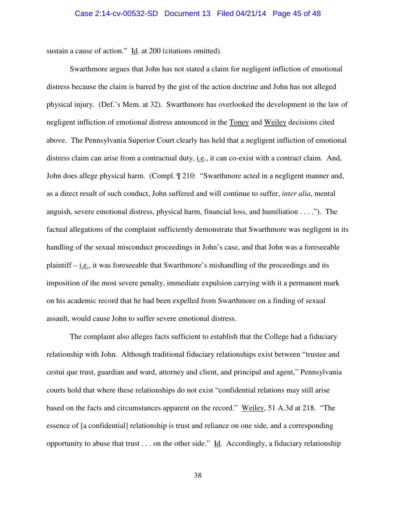sustain a cause of action." Id. at 200 (citations omitted).

 Swarthmore argues that John has not stated a claim for negligent infliction of emotional distress because the claim is barred by the gist of the action doctrine and John has not alleged physical injury. (Def.'s Mem. at 32). Swarthmore has overlooked the development in the law of negligent infliction of emotional distress announced in the Toney and Weiley decisions cited above. The Pennsylvania Superior Court clearly has held that a negligent infliction of emotional distress claim can arise from a contractual duty, i.e., it can co-exist with a contract claim. And, John does allege physical harm. (Compl. ¶ 210: "Swarthmore acted in a negligent manner and, as a direct result of such conduct, John suffered and will continue to suffer, *inter alia*, mental anguish, severe emotional distress, physical harm, financial loss, and humiliation . . . ."). The factual allegations of the complaint sufficiently demonstrate that Swarthmore was negligent in its handling of the sexual misconduct proceedings in John's case, and that John was a foreseeable plaintiff  $-$  i.e., it was foreseeable that Swarthmore's mishandling of the proceedings and its imposition of the most severe penalty, immediate expulsion carrying with it a permanent mark on his academic record that he had been expelled from Swarthmore on a finding of sexual assault, would cause John to suffer severe emotional distress.

 The complaint also alleges facts sufficient to establish that the College had a fiduciary relationship with John. Although traditional fiduciary relationships exist between "trustee and cestui que trust, guardian and ward, attorney and client, and principal and agent," Pennsylvania courts hold that where these relationships do not exist "confidential relations may still arise based on the facts and circumstances apparent on the record." Weiley, 51 A.3d at 218. "The essence of [a confidential] relationship is trust and reliance on one side, and a corresponding opportunity to abuse that trust  $\ldots$  on the other side." Id. Accordingly, a fiduciary relationship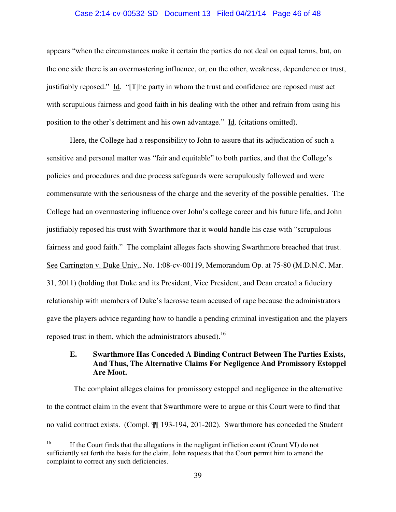#### Case 2:14-cv-00532-SD Document 13 Filed 04/21/14 Page 46 of 48

appears "when the circumstances make it certain the parties do not deal on equal terms, but, on the one side there is an overmastering influence, or, on the other, weakness, dependence or trust, justifiably reposed." Id. "[T]he party in whom the trust and confidence are reposed must act with scrupulous fairness and good faith in his dealing with the other and refrain from using his position to the other's detriment and his own advantage." Id. (citations omitted).

 Here, the College had a responsibility to John to assure that its adjudication of such a sensitive and personal matter was "fair and equitable" to both parties, and that the College's policies and procedures and due process safeguards were scrupulously followed and were commensurate with the seriousness of the charge and the severity of the possible penalties. The College had an overmastering influence over John's college career and his future life, and John justifiably reposed his trust with Swarthmore that it would handle his case with "scrupulous fairness and good faith." The complaint alleges facts showing Swarthmore breached that trust. See Carrington v. Duke Univ., No. 1:08-cv-00119, Memorandum Op. at 75-80 (M.D.N.C. Mar. 31, 2011) (holding that Duke and its President, Vice President, and Dean created a fiduciary relationship with members of Duke's lacrosse team accused of rape because the administrators gave the players advice regarding how to handle a pending criminal investigation and the players reposed trust in them, which the administrators abused).<sup>16</sup>

## **E. Swarthmore Has Conceded A Binding Contract Between The Parties Exists, And Thus, The Alternative Claims For Negligence And Promissory Estoppel Are Moot.**

 The complaint alleges claims for promissory estoppel and negligence in the alternative to the contract claim in the event that Swarthmore were to argue or this Court were to find that no valid contract exists. (Compl. ¶¶ 193-194, 201-202). Swarthmore has conceded the Student

<sup>16</sup> <sup>16</sup> If the Court finds that the allegations in the negligent infliction count (Count VI) do not sufficiently set forth the basis for the claim, John requests that the Court permit him to amend the complaint to correct any such deficiencies.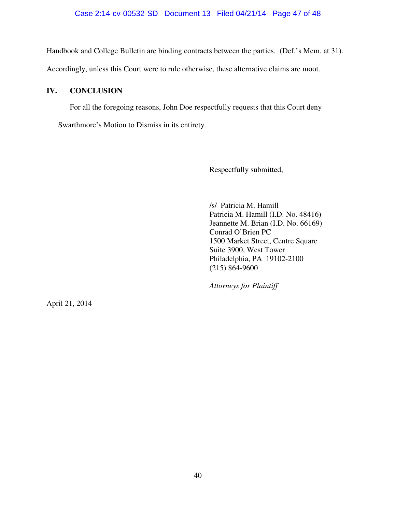## Case 2:14-cv-00532-SD Document 13 Filed 04/21/14 Page 47 of 48

Handbook and College Bulletin are binding contracts between the parties. (Def.'s Mem. at 31).

Accordingly, unless this Court were to rule otherwise, these alternative claims are moot.

# **IV. CONCLUSION**

For all the foregoing reasons, John Doe respectfully requests that this Court deny

Swarthmore's Motion to Dismiss in its entirety.

Respectfully submitted,

 /s/ Patricia M. Hamill Patricia M. Hamill (I.D. No. 48416) Jeannette M. Brian (I.D. No. 66169) Conrad O'Brien PC 1500 Market Street, Centre Square Suite 3900, West Tower Philadelphia, PA 19102-2100 (215) 864-9600

*Attorneys for Plaintiff* 

April 21, 2014